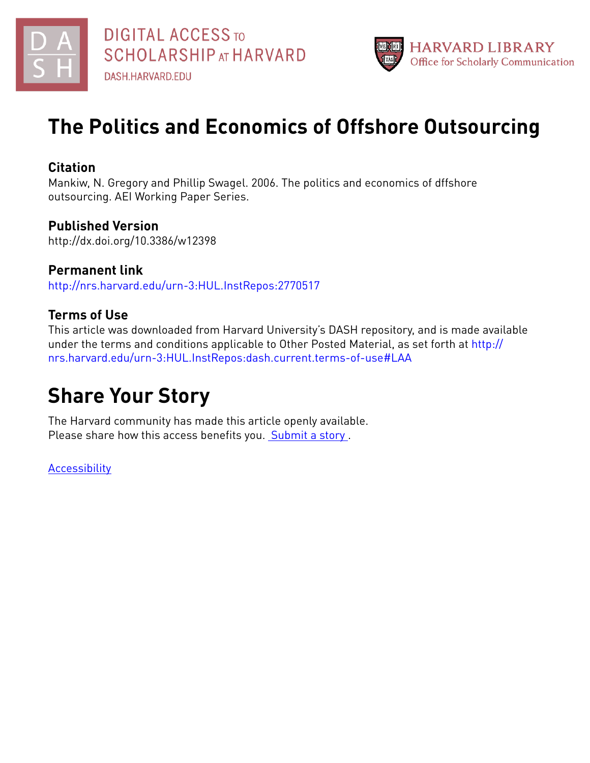



# **The Politics and Economics of Offshore Outsourcing**

# **Citation**

Mankiw, N. Gregory and Phillip Swagel. 2006. The politics and economics of dffshore outsourcing. AEI Working Paper Series.

# **Published Version** http://dx.doi.org/10.3386/w12398

**Permanent link** <http://nrs.harvard.edu/urn-3:HUL.InstRepos:2770517>

# **Terms of Use**

This article was downloaded from Harvard University's DASH repository, and is made available under the terms and conditions applicable to Other Posted Material, as set forth at [http://](http://nrs.harvard.edu/urn-3:HUL.InstRepos:dash.current.terms-of-use#LAA) [nrs.harvard.edu/urn-3:HUL.InstRepos:dash.current.terms-of-use#LAA](http://nrs.harvard.edu/urn-3:HUL.InstRepos:dash.current.terms-of-use#LAA)

# **Share Your Story**

The Harvard community has made this article openly available. Please share how this access benefits you. [Submit](http://osc.hul.harvard.edu/dash/open-access-feedback?handle=&title=The%20Politics%20and%20Economics%20of%20Offshore%20Outsourcing&community=1/1&collection=1/2&owningCollection1/2&harvardAuthors=ed12d5cc5ec929ccf403bdeb90fc8ed0&departmentEconomics) a story.

**[Accessibility](https://dash.harvard.edu/pages/accessibility)**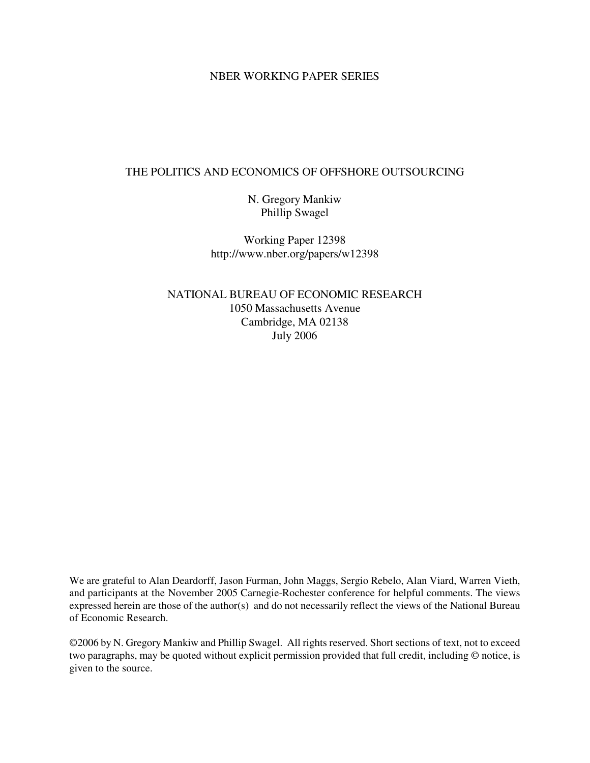# NBER WORKING PAPER SERIES

# THE POLITICS AND ECONOMICS OF OFFSHORE OUTSOURCING

N. Gregory Mankiw Phillip Swagel

Working Paper 12398 http://www.nber.org/papers/w12398

NATIONAL BUREAU OF ECONOMIC RESEARCH 1050 Massachusetts Avenue Cambridge, MA 02138 July 2006

We are grateful to Alan Deardorff, Jason Furman, John Maggs, Sergio Rebelo, Alan Viard, Warren Vieth, and participants at the November 2005 Carnegie-Rochester conference for helpful comments. The views expressed herein are those of the author(s) and do not necessarily reflect the views of the National Bureau of Economic Research.

©2006 by N. Gregory Mankiw and Phillip Swagel. All rights reserved. Short sections of text, not to exceed two paragraphs, may be quoted without explicit permission provided that full credit, including © notice, is given to the source.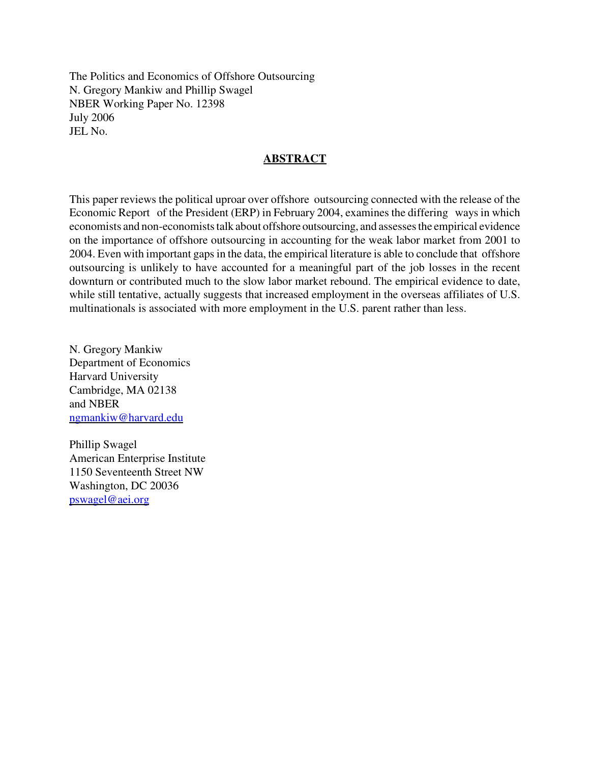The Politics and Economics of Offshore Outsourcing N. Gregory Mankiw and Phillip Swagel NBER Working Paper No. 12398 July 2006 JEL No.

# **ABSTRACT**

This paper reviews the political uproar over offshore outsourcing connected with the release of the Economic Report of the President (ERP) in February 2004, examines the differing ways in which economists and non-economists talk about offshore outsourcing, and assesses the empirical evidence on the importance of offshore outsourcing in accounting for the weak labor market from 2001 to 2004. Even with important gaps in the data, the empirical literature is able to conclude that offshore outsourcing is unlikely to have accounted for a meaningful part of the job losses in the recent downturn or contributed much to the slow labor market rebound. The empirical evidence to date, while still tentative, actually suggests that increased employment in the overseas affiliates of U.S. multinationals is associated with more employment in the U.S. parent rather than less.

N. Gregory Mankiw Department of Economics Harvard University Cambridge, MA 02138 and NBER ngmankiw@harvard.edu

Phillip Swagel American Enterprise Institute 1150 Seventeenth Street NW Washington, DC 20036 pswagel@aei.org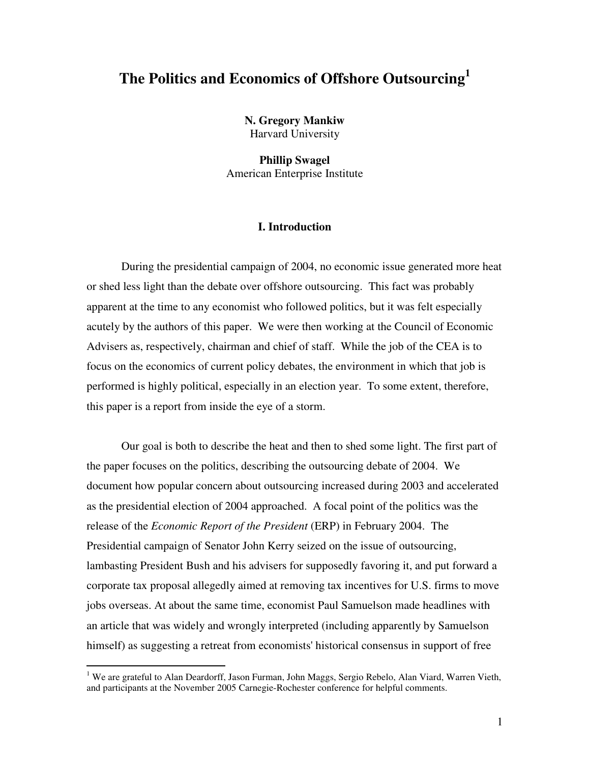# **The Politics and Economics of Offshore Outsourcing 1**

**N. Gregory Mankiw** Harvard University

**Phillip Swagel** American Enterprise Institute

# **I. Introduction**

During the presidential campaign of 2004, no economic issue generated more heat or shed less light than the debate over offshore outsourcing. This fact was probably apparent at the time to any economist who followed politics, but it was felt especially acutely by the authors of this paper. We were then working at the Council of Economic Advisers as, respectively, chairman and chief of staff. While the job of the CEA is to focus on the economics of current policy debates, the environment in which that job is performed is highly political, especially in an election year. To some extent, therefore, this paper is a report from inside the eye of a storm.

Our goal is both to describe the heat and then to shed some light. The first part of the paper focuses on the politics, describing the outsourcing debate of 2004. We document how popular concern about outsourcing increased during 2003 and accelerated as the presidential election of 2004 approached. A focal point of the politics was the release of the *Economic Report of the President* (ERP) in February 2004. The Presidential campaign of Senator John Kerry seized on the issue of outsourcing, lambasting President Bush and his advisers for supposedly favoring it, and put forward a corporate tax proposal allegedly aimed at removing tax incentives for U.S. firms to move jobs overseas. At about the same time, economist Paul Samuelson made headlines with an article that was widely and wrongly interpreted (including apparently by Samuelson himself) as suggesting a retreat from economists' historical consensus in support of free

<sup>&</sup>lt;sup>1</sup> We are grateful to Alan Deardorff, Jason Furman, John Maggs, Sergio Rebelo, Alan Viard, Warren Vieth, and participants at the November 2005 Carnegie-Rochester conference for helpful comments.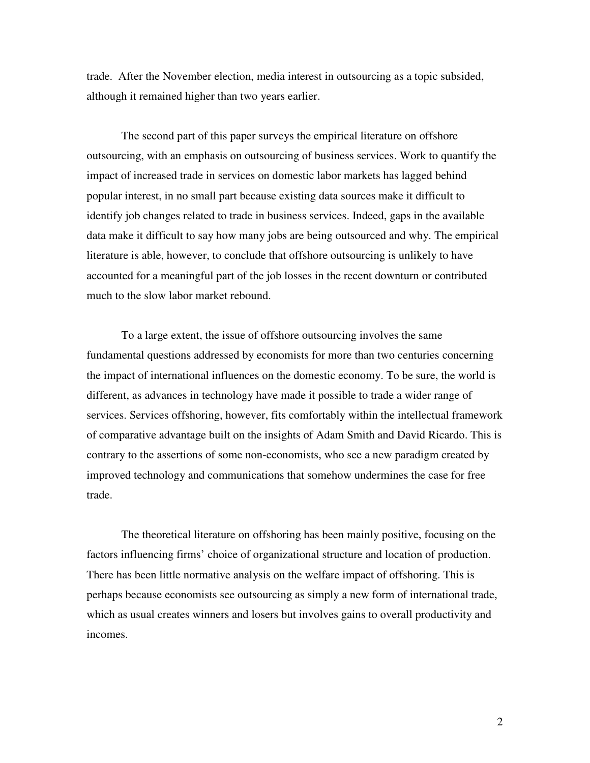trade. After the November election, media interest in outsourcing as a topic subsided, although it remained higher than two years earlier.

The second part of this paper surveys the empirical literature on offshore outsourcing, with an emphasis on outsourcing of business services. Work to quantify the impact of increased trade in services on domestic labor markets has lagged behind popular interest, in no small part because existing data sources make it difficult to identify job changes related to trade in business services. Indeed, gaps in the available data make it difficult to say how many jobs are being outsourced and why. The empirical literature is able, however, to conclude that offshore outsourcing is unlikely to have accounted for a meaningful part of the job losses in the recent downturn or contributed much to the slow labor market rebound.

To a large extent, the issue of offshore outsourcing involves the same fundamental questions addressed by economists for more than two centuries concerning the impact of international influences on the domestic economy. To be sure, the world is different, as advances in technology have made it possible to trade a wider range of services. Services offshoring, however, fits comfortably within the intellectual framework of comparative advantage built on the insights of Adam Smith and David Ricardo. This is contrary to the assertions of some non-economists, who see a new paradigm created by improved technology and communications that somehow undermines the case for free trade.

The theoretical literature on offshoring has been mainly positive, focusing on the factors influencing firms' choice of organizational structure and location of production. There has been little normative analysis on the welfare impact of offshoring. This is perhaps because economists see outsourcing as simply a new form of international trade, which as usual creates winners and losers but involves gains to overall productivity and incomes.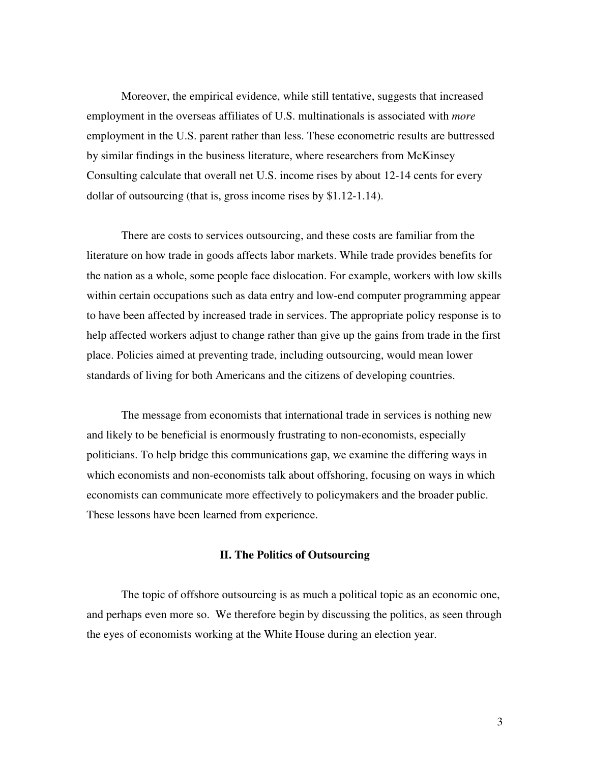Moreover, the empirical evidence, while still tentative, suggests that increased employment in the overseas affiliates of U.S. multinationals is associated with *more* employment in the U.S. parent rather than less. These econometric results are buttressed by similar findings in the business literature, where researchers from McKinsey Consulting calculate that overall net U.S. income rises by about 12-14 cents for every dollar of outsourcing (that is, gross income rises by \$1.12-1.14).

There are costs to services outsourcing, and these costs are familiar from the literature on how trade in goods affects labor markets. While trade provides benefits for the nation as a whole, some people face dislocation. For example, workers with low skills within certain occupations such as data entry and low-end computer programming appear to have been affected by increased trade in services. The appropriate policy response is to help affected workers adjust to change rather than give up the gains from trade in the first place. Policies aimed at preventing trade, including outsourcing, would mean lower standards of living for both Americans and the citizens of developing countries.

The message from economists that international trade in services is nothing new and likely to be beneficial is enormously frustrating to non-economists, especially politicians. To help bridge this communications gap, we examine the differing ways in which economists and non-economists talk about offshoring, focusing on ways in which economists can communicate more effectively to policymakers and the broader public. These lessons have been learned from experience.

### **II. The Politics of Outsourcing**

The topic of offshore outsourcing is as much a political topic as an economic one, and perhaps even more so. We therefore begin by discussing the politics, as seen through the eyes of economists working at the White House during an election year.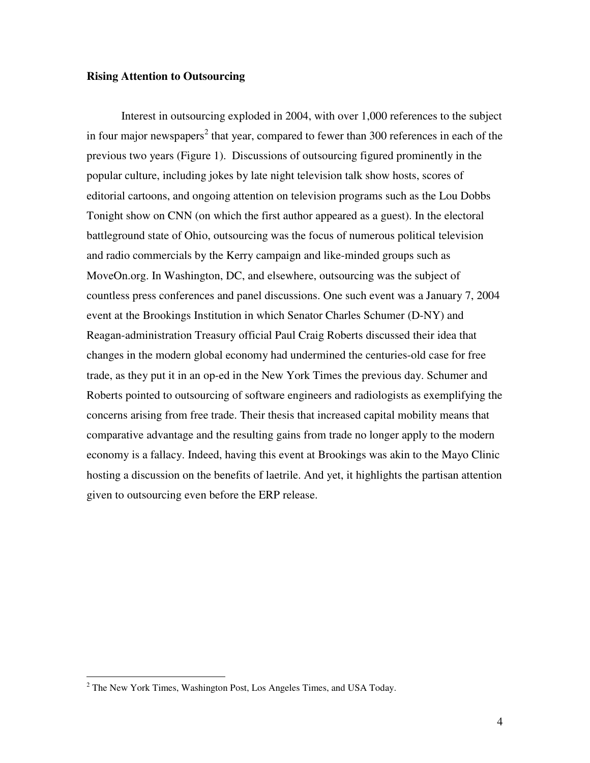# **Rising Attention to Outsourcing**

Interest in outsourcing exploded in 2004, with over 1,000 references to the subject in four major newspapers<sup>2</sup> that year, compared to fewer than 300 references in each of the previous two years (Figure 1). Discussions of outsourcing figured prominently in the popular culture, including jokes by late night television talk show hosts, scores of editorial cartoons, and ongoing attention on television programs such as the Lou Dobbs Tonight show on CNN (on which the first author appeared as a guest). In the electoral battleground state of Ohio, outsourcing was the focus of numerous political television and radio commercials by the Kerry campaign and like-minded groups such as MoveOn.org. In Washington, DC, and elsewhere, outsourcing was the subject of countless press conferences and panel discussions. One such event was a January 7, 2004 event at the Brookings Institution in which Senator Charles Schumer (D-NY) and Reagan-administration Treasury official Paul Craig Roberts discussed their idea that changes in the modern global economy had undermined the centuries-old case for free trade, as they put it in an op-ed in the New York Times the previous day. Schumer and Roberts pointed to outsourcing of software engineers and radiologists as exemplifying the concerns arising from free trade. Their thesis that increased capital mobility means that comparative advantage and the resulting gains from trade no longer apply to the modern economy is a fallacy. Indeed, having this event at Brookings was akin to the Mayo Clinic hosting a discussion on the benefits of laetrile. And yet, it highlights the partisan attention given to outsourcing even before the ERP release.

 $2$  The New York Times, Washington Post, Los Angeles Times, and USA Today.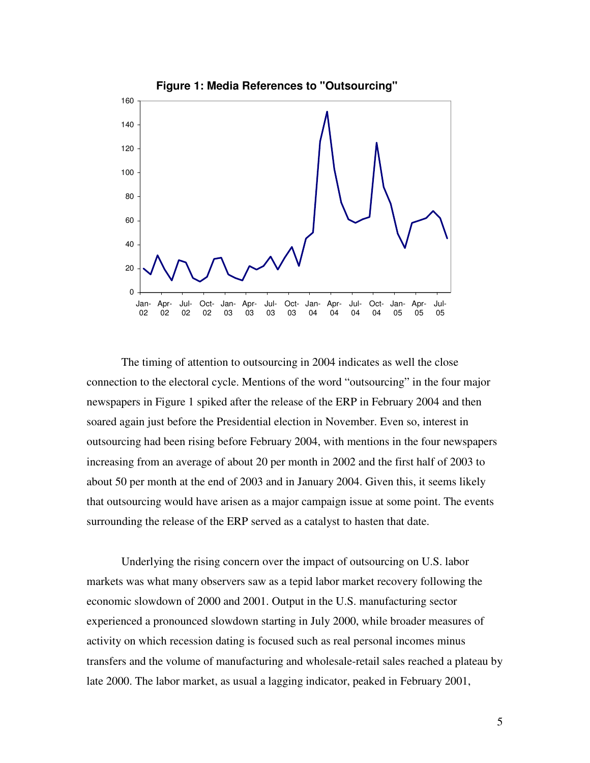

The timing of attention to outsourcing in 2004 indicates as well the close connection to the electoral cycle. Mentions of the word "outsourcing" in the four major newspapers in Figure 1 spiked after the release of the ERP in February 2004 and then soared again just before the Presidential election in November. Even so, interest in outsourcing had been rising before February 2004, with mentions in the four newspapers increasing from an average of about 20 per month in 2002 and the first half of 2003 to about 50 per month at the end of 2003 and in January 2004. Given this, it seems likely that outsourcing would have arisen as a major campaign issue at some point. The events surrounding the release of the ERP served as a catalyst to hasten that date.

Underlying the rising concern over the impact of outsourcing on U.S. labor markets was what many observers saw as a tepid labor market recovery following the economic slowdown of 2000 and 2001. Output in the U.S. manufacturing sector experienced a pronounced slowdown starting in July 2000, while broader measures of activity on which recession dating is focused such as real personal incomes minus transfers and the volume of manufacturing and wholesale-retail sales reached a plateau by late 2000. The labor market, as usual a lagging indicator, peaked in February 2001,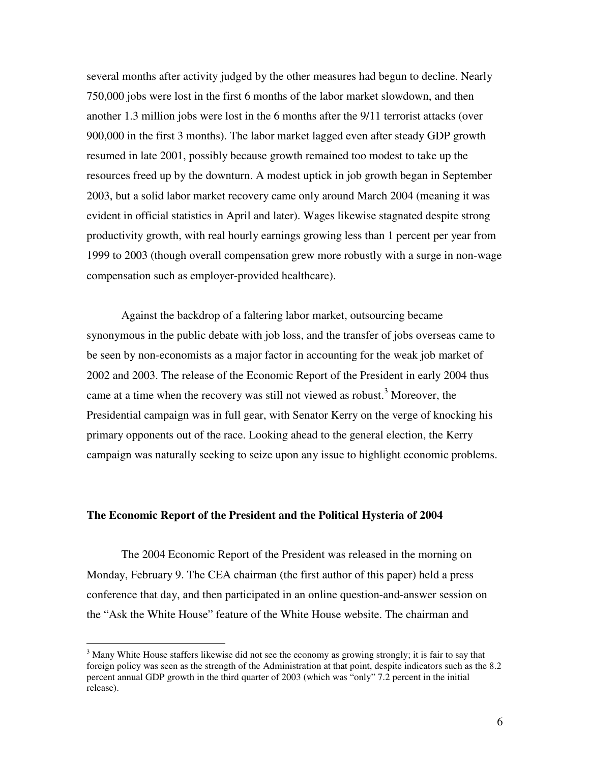several months after activity judged by the other measures had begun to decline. Nearly 750,000 jobs were lost in the first 6 months of the labor market slowdown, and then another 1.3 million jobs were lost in the 6 months after the 9/11 terrorist attacks (over 900,000 in the first 3 months). The labor market lagged even after steady GDP growth resumed in late 2001, possibly because growth remained too modest to take up the resources freed up by the downturn. A modest uptick in job growth began in September 2003, but a solid labor market recovery came only around March 2004 (meaning it was evident in official statistics in April and later). Wages likewise stagnated despite strong productivity growth, with real hourly earnings growing less than 1 percent per year from 1999 to 2003 (though overall compensation grew more robustly with a surge in non-wage compensation such as employer-provided healthcare).

Against the backdrop of a faltering labor market, outsourcing became synonymous in the public debate with job loss, and the transfer of jobs overseas came to be seen by non-economists as a major factor in accounting for the weak job market of 2002 and 2003. The release of the Economic Report of the President in early 2004 thus came at a time when the recovery was still not viewed as robust. <sup>3</sup> Moreover, the Presidential campaign was in full gear, with Senator Kerry on the verge of knocking his primary opponents out of the race. Looking ahead to the general election, the Kerry campaign was naturally seeking to seize upon any issue to highlight economic problems.

#### **The Economic Report of the President and the Political Hysteria of 2004**

The 2004 Economic Report of the President was released in the morning on Monday, February 9. The CEA chairman (the first author of this paper) held a press conference that day, and then participated in an online question-and-answer session on the "Ask the White House" feature of the White House website. The chairman and

 $3$  Many White House staffers likewise did not see the economy as growing strongly; it is fair to say that foreign policy was seen as the strength of the Administration at that point, despite indicators such as the 8.2 percent annual GDP growth in the third quarter of 2003 (which was "only" 7.2 percent in the initial release).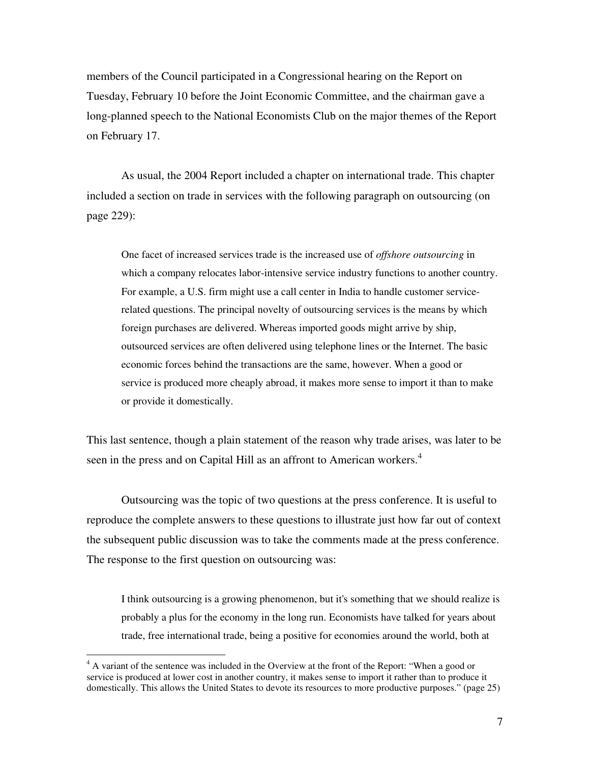members of the Council participated in a Congressional hearing on the Report on Tuesday, February 10 before the Joint Economic Committee, and the chairman gave a long-planned speech to the National Economists Club on the major themes of the Report on February 17.

As usual, the 2004 Report included a chapter on international trade. This chapter included a section on trade in services with the following paragraph on outsourcing (on page 229):

One facet of increased services trade is the increased use of *offshore outsourcing* in which a company relocates labor-intensive service industry functions to another country. For example, a U.S. firm might use a call center in India to handle customer servicerelated questions. The principal novelty of outsourcing services is the means by which foreign purchases are delivered. Whereas imported goods might arrive by ship, outsourced services are often delivered using telephone lines or the Internet. The basic economic forces behind the transactions are the same, however. When a good or service is produced more cheaply abroad, it makes more sense to import it than to make or provide it domestically.

This last sentence, though a plain statement of the reason why trade arises, was later to be seen in the press and on Capital Hill as an affront to American workers.<sup>4</sup>

Outsourcing was the topic of two questions at the press conference. It is useful to reproduce the complete answers to these questions to illustrate just how far out of context the subsequent public discussion was to take the comments made at the press conference. The response to the first question on outsourcing was:

I think outsourcing is a growing phenomenon, but it's something that we should realize is probably a plus for the economy in the long run. Economists have talked for years about trade, free international trade, being a positive for economies around the world, both at

<sup>&</sup>lt;sup>4</sup> A variant of the sentence was included in the Overview at the front of the Report: "When a good or service is produced at lower cost in another country, it makes sense to import it rather than to produce it domestically. This allows the United States to devote its resources to more productive purposes." (page 25)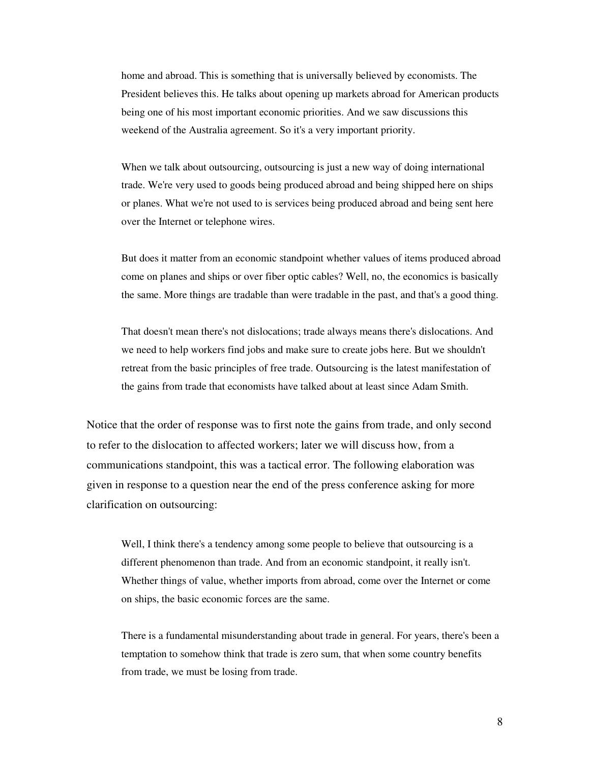home and abroad. This is something that is universally believed by economists. The President believes this. He talks about opening up markets abroad for American products being one of his most important economic priorities. And we saw discussions this weekend of the Australia agreement. So it's a very important priority.

When we talk about outsourcing, outsourcing is just a new way of doing international trade. We're very used to goods being produced abroad and being shipped here on ships or planes. What we're not used to is services being produced abroad and being sent here over the Internet or telephone wires.

But does it matter from an economic standpoint whether values of items produced abroad come on planes and ships or over fiber optic cables? Well, no, the economics is basically the same. More things are tradable than were tradable in the past, and that's a good thing.

That doesn't mean there's not dislocations; trade always means there's dislocations. And we need to help workers find jobs and make sure to create jobs here. But we shouldn't retreat from the basic principles of free trade. Outsourcing is the latest manifestation of the gains from trade that economists have talked about at least since Adam Smith.

Notice that the order of response was to first note the gains from trade, and only second to refer to the dislocation to affected workers; later we will discuss how, from a communications standpoint, this was a tactical error. The following elaboration was given in response to a question near the end of the press conference asking for more clarification on outsourcing:

Well, I think there's a tendency among some people to believe that outsourcing is a different phenomenon than trade. And from an economic standpoint, it really isn't. Whether things of value, whether imports from abroad, come over the Internet or come on ships, the basic economic forces are the same.

There is a fundamental misunderstanding about trade in general. For years, there's been a temptation to somehow think that trade is zero sum, that when some country benefits from trade, we must be losing from trade.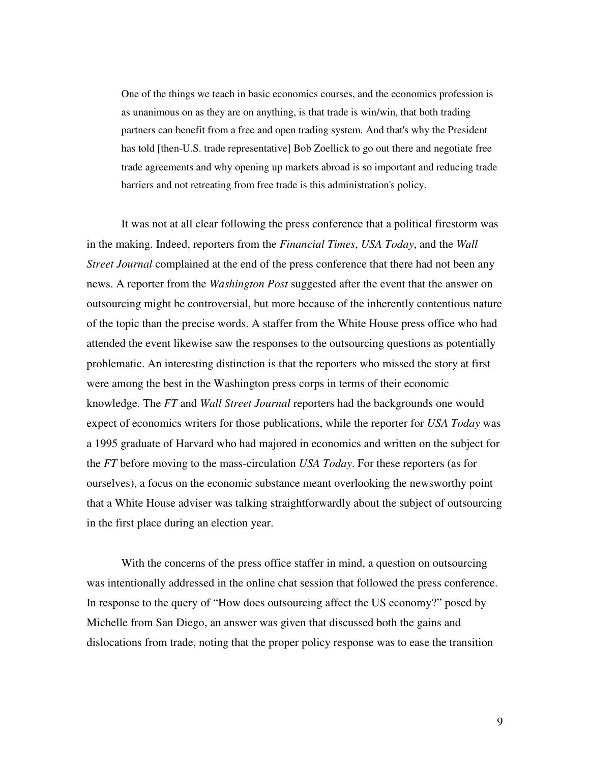One of the things we teach in basic economics courses, and the economics profession is as unanimous on as they are on anything, is that trade is win/win, that both trading partners can benefit from a free and open trading system. And that's why the President has told [then-U.S. trade representative] Bob Zoellick to go out there and negotiate free trade agreements and why opening up markets abroad is so important and reducing trade barriers and not retreating from free trade is this administration's policy.

It was not at all clear following the press conference that a political firestorm was in the making. Indeed, reporters from the *Financial Times*, *USA Today*, and the *Wall Street Journal* complained at the end of the press conference that there had not been any news. A reporter from the *Washington Post* suggested after the event that the answer on outsourcing might be controversial, but more because of the inherently contentious nature of the topic than the precise words. A staffer from the White House press office who had attended the event likewise saw the responses to the outsourcing questions as potentially problematic. An interesting distinction is that the reporters who missed the story at first were among the best in the Washington press corps in terms of their economic knowledge. The *FT* and *Wall Street Journal* reporters had the backgrounds one would expect of economics writers for those publications, while the reporter for *USA Today* was a 1995 graduate of Harvard who had majored in economics and written on the subject for the *FT* before moving to the mass-circulation *USA Today*. For these reporters (as for ourselves), a focus on the economic substance meant overlooking the newsworthy point that a White House adviser was talking straightforwardly about the subject of outsourcing in the first place during an election year.

With the concerns of the press office staffer in mind, a question on outsourcing was intentionally addressed in the online chat session that followed the press conference. In response to the query of "How does outsourcing affect the US economy?" posed by Michelle from San Diego, an answer was given that discussed both the gains and dislocations from trade, noting that the proper policy response was to ease the transition

9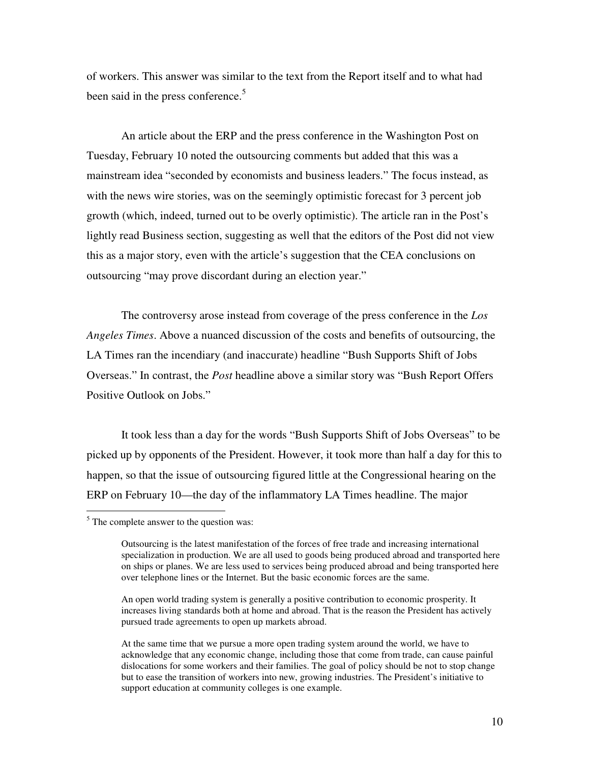of workers. This answer was similar to the text from the Report itself and to what had been said in the press conference.<sup>5</sup>

An article about the ERP and the press conference in the Washington Post on Tuesday, February 10 noted the outsourcing comments but added that this was a mainstream idea "seconded by economists and business leaders." The focus instead, as with the news wire stories, was on the seemingly optimistic forecast for 3 percent job growth (which, indeed, turned out to be overly optimistic). The article ran in the Post's lightly read Business section, suggesting as well that the editors of the Post did not view this as a major story, even with the article's suggestion that the CEA conclusions on outsourcing "may prove discordant during an election year."

The controversy arose instead from coverage of the press conference in the *Los Angeles Times*. Above a nuanced discussion of the costs and benefits of outsourcing, the LA Times ran the incendiary (and inaccurate) headline "Bush Supports Shift of Jobs Overseas." In contrast, the *Post* headline above a similar story was "Bush Report Offers Positive Outlook on Jobs."

It took less than a day for the words "Bush Supports Shift of Jobs Overseas" to be picked up by opponents of the President. However, it took more than half a day for this to happen, so that the issue of outsourcing figured little at the Congressional hearing on the ERP on February 10—the day of the inflammatory LA Times headline. The major

 $<sup>5</sup>$  The complete answer to the question was:</sup>

Outsourcing is the latest manifestation of the forces of free trade and increasing international specialization in production. We are all used to goods being produced abroad and transported here on ships or planes. We are less used to services being produced abroad and being transported here over telephone lines or the Internet. But the basic economic forces are the same.

An open world trading system is generally a positive contribution to economic prosperity. It increases living standards both at home and abroad. That is the reason the President has actively pursued trade agreements to open up markets abroad.

At the same time that we pursue a more open trading system around the world, we have to acknowledge that any economic change, including those that come from trade, can cause painful dislocations for some workers and their families. The goal of policy should be not to stop change but to ease the transition of workers into new, growing industries. The President's initiative to support education at community colleges is one example.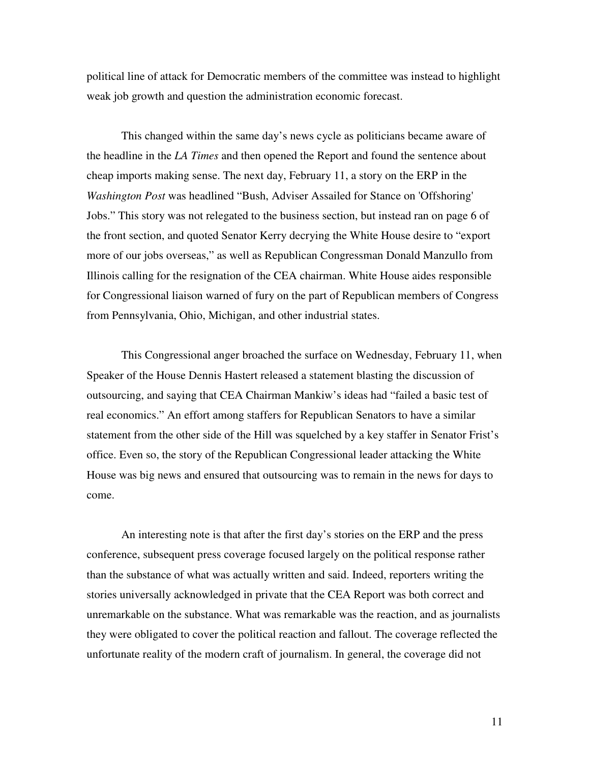political line of attack for Democratic members of the committee was instead to highlight weak job growth and question the administration economic forecast.

This changed within the same day's news cycle as politicians became aware of the headline in the *LA Times* and then opened the Report and found the sentence about cheap imports making sense. The next day, February 11, a story on the ERP in the *Washington Post* was headlined "Bush, Adviser Assailed for Stance on 'Offshoring' Jobs." This story was not relegated to the business section, but instead ran on page 6 of the front section, and quoted Senator Kerry decrying the White House desire to "export more of our jobs overseas," as well as Republican Congressman Donald Manzullo from Illinois calling for the resignation of the CEA chairman. White House aides responsible for Congressional liaison warned of fury on the part of Republican members of Congress from Pennsylvania, Ohio, Michigan, and other industrial states.

This Congressional anger broached the surface on Wednesday, February 11, when Speaker of the House Dennis Hastert released a statement blasting the discussion of outsourcing, and saying that CEA Chairman Mankiw's ideas had "failed a basic test of real economics." An effort among staffers for Republican Senators to have a similar statement from the other side of the Hill was squelched by a key staffer in Senator Frist's office. Even so, the story of the Republican Congressional leader attacking the White House was big news and ensured that outsourcing was to remain in the news for days to come.

An interesting note is that after the first day's stories on the ERP and the press conference, subsequent press coverage focused largely on the political response rather than the substance of what was actually written and said. Indeed, reporters writing the stories universally acknowledged in private that the CEA Report was both correct and unremarkable on the substance. What was remarkable was the reaction, and as journalists they were obligated to cover the political reaction and fallout. The coverage reflected the unfortunate reality of the modern craft of journalism. In general, the coverage did not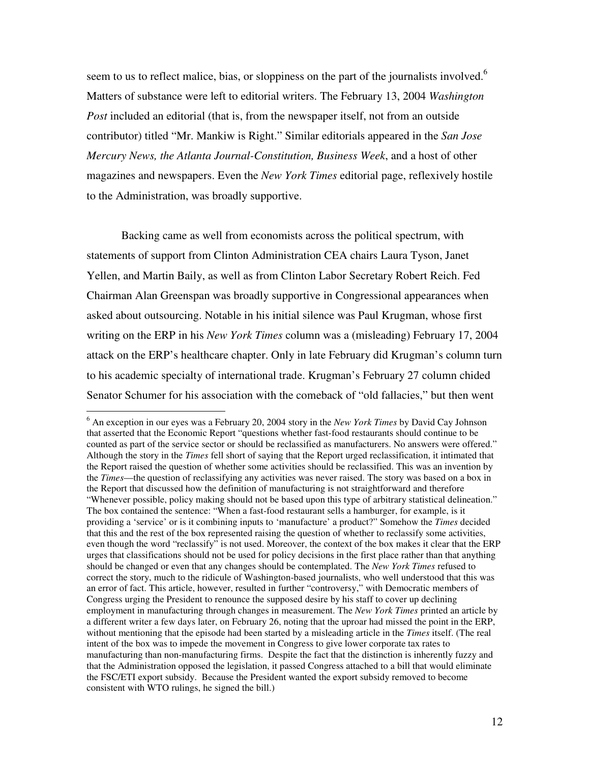seem to us to reflect malice, bias, or sloppiness on the part of the journalists involved.<sup>6</sup> Matters of substance were left to editorial writers. The February 13, 2004 *Washington Post* included an editorial (that is, from the newspaper itself, not from an outside contributor) titled "Mr. Mankiw is Right." Similar editorials appeared in the *San Jose Mercury News, the Atlanta Journal-Constitution, Business Week*, and a host of other magazines and newspapers. Even the *New York Times* editorial page, reflexively hostile to the Administration, was broadly supportive.

Backing came as well from economists across the political spectrum, with statements of support from Clinton Administration CEA chairs Laura Tyson, Janet Yellen, and Martin Baily, as well as from Clinton Labor Secretary Robert Reich. Fed Chairman Alan Greenspan was broadly supportive in Congressional appearances when asked about outsourcing. Notable in his initial silence was Paul Krugman, whose first writing on the ERP in his *New York Times* column was a (misleading) February 17, 2004 attack on the ERP's healthcare chapter. Only in late February did Krugman's column turn to his academic specialty of international trade. Krugman's February 27 column chided Senator Schumer for his association with the comeback of "old fallacies," but then went

<sup>6</sup> An exception in our eyes was a February 20, 2004 story in the *New York Times* by David Cay Johnson that asserted that the Economic Report "questions whether fast-food restaurants should continue to be counted as part of the service sector or should be reclassified as manufacturers. No answers were offered." Although the story in the *Times* fell short of saying that the Report urged reclassification, it intimated that the Report raised the question of whether some activities should be reclassified. This was an invention by the *Times*—the question of reclassifying any activities was never raised. The story was based on a box in the Report that discussed how the definition of manufacturing is not straightforward and therefore "Whenever possible, policy making should not be based upon this type of arbitrary statistical delineation." The box contained the sentence: "When a fast-food restaurant sells a hamburger, for example, is it providing a 'service' or is it combining inputs to 'manufacture' a product?" Somehow the *Times* decided that this and the rest of the box represented raising the question of whether to reclassify some activities, even though the word "reclassify" is not used. Moreover, the context of the box makes it clear that the ERP urges that classifications should not be used for policy decisions in the first place rather than that anything should be changed or even that any changes should be contemplated. The *New York Times* refused to correct the story, much to the ridicule of Washington-based journalists, who well understood that this was an error of fact. This article, however, resulted in further "controversy," with Democratic members of Congress urging the President to renounce the supposed desire by his staff to cover up declining employment in manufacturing through changes in measurement. The *New York Times* printed an article by a different writer a few days later, on February 26, noting that the uproar had missed the point in the ERP, without mentioning that the episode had been started by a misleading article in the *Times* itself. (The real intent of the box was to impede the movement in Congress to give lower corporate tax rates to manufacturing than non-manufacturing firms. Despite the fact that the distinction is inherently fuzzy and that the Administration opposed the legislation, it passed Congress attached to a bill that would eliminate the FSC/ETI export subsidy. Because the President wanted the export subsidy removed to become consistent with WTO rulings, he signed the bill.)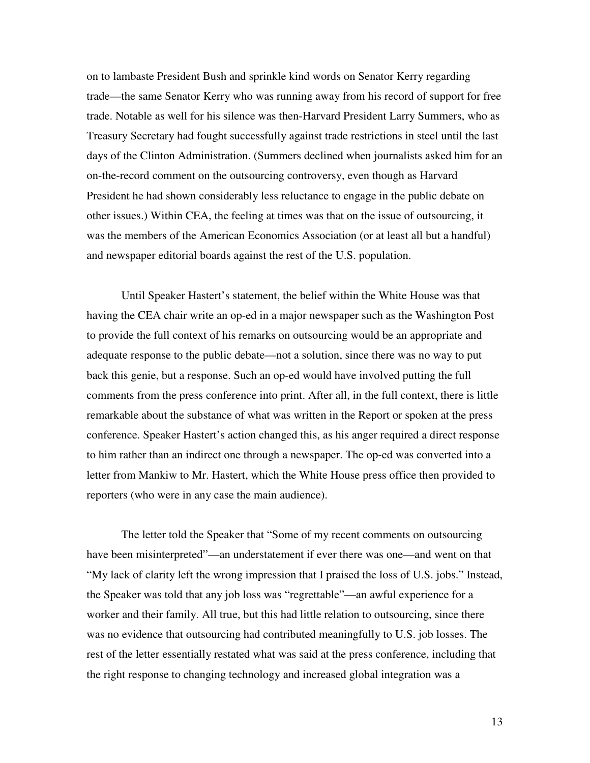on to lambaste President Bush and sprinkle kind words on Senator Kerry regarding trade—the same Senator Kerry who was running away from his record of support for free trade. Notable as well for his silence was then-Harvard President Larry Summers, who as Treasury Secretary had fought successfully against trade restrictions in steel until the last days of the Clinton Administration. (Summers declined when journalists asked him for an on-the-record comment on the outsourcing controversy, even though as Harvard President he had shown considerably less reluctance to engage in the public debate on other issues.) Within CEA, the feeling at times was that on the issue of outsourcing, it was the members of the American Economics Association (or at least all but a handful) and newspaper editorial boards against the rest of the U.S. population.

Until Speaker Hastert's statement, the belief within the White House was that having the CEA chair write an op-ed in a major newspaper such as the Washington Post to provide the full context of his remarks on outsourcing would be an appropriate and adequate response to the public debate—not a solution, since there was no way to put back this genie, but a response. Such an op-ed would have involved putting the full comments from the press conference into print. After all, in the full context, there is little remarkable about the substance of what was written in the Report or spoken at the press conference. Speaker Hastert's action changed this, as his anger required a direct response to him rather than an indirect one through a newspaper. The op-ed was converted into a letter from Mankiw to Mr. Hastert, which the White House press office then provided to reporters (who were in any case the main audience).

The letter told the Speaker that "Some of my recent comments on outsourcing have been misinterpreted"—an understatement if ever there was one—and went on that "My lack of clarity left the wrong impression that I praised the loss of U.S. jobs." Instead, the Speaker was told that any job loss was "regrettable"—an awful experience for a worker and their family. All true, but this had little relation to outsourcing, since there was no evidence that outsourcing had contributed meaningfully to U.S. job losses. The rest of the letter essentially restated what was said at the press conference, including that the right response to changing technology and increased global integration was a

13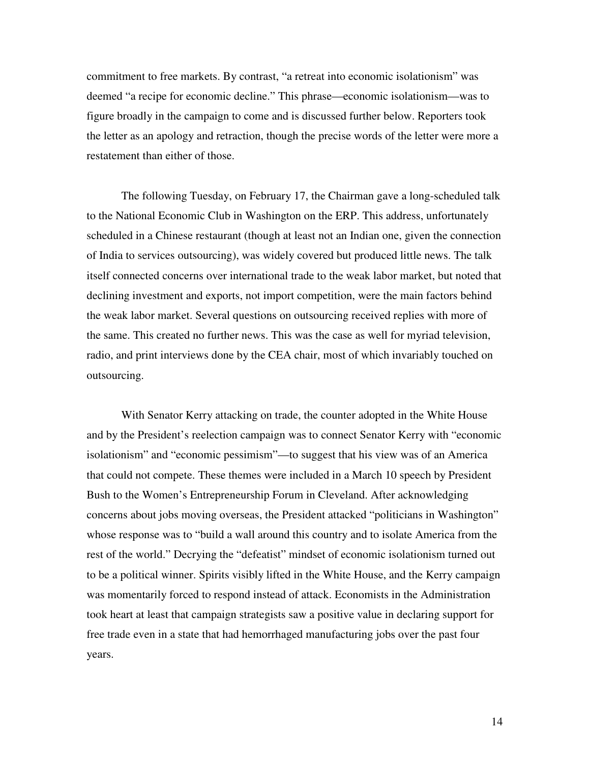commitment to free markets. By contrast, "a retreat into economic isolationism" was deemed "a recipe for economic decline." This phrase—economic isolationism—was to figure broadly in the campaign to come and is discussed further below. Reporters took the letter as an apology and retraction, though the precise words of the letter were more a restatement than either of those.

The following Tuesday, on February 17, the Chairman gave a long-scheduled talk to the National Economic Club in Washington on the ERP. This address, unfortunately scheduled in a Chinese restaurant (though at least not an Indian one, given the connection of India to services outsourcing), was widely covered but produced little news. The talk itself connected concerns over international trade to the weak labor market, but noted that declining investment and exports, not import competition, were the main factors behind the weak labor market. Several questions on outsourcing received replies with more of the same. This created no further news. This was the case as well for myriad television, radio, and print interviews done by the CEA chair, most of which invariably touched on outsourcing.

With Senator Kerry attacking on trade, the counter adopted in the White House and by the President's reelection campaign was to connect Senator Kerry with "economic isolationism" and "economic pessimism"—to suggest that his view was of an America that could not compete. These themes were included in a March 10 speech by President Bush to the Women's Entrepreneurship Forum in Cleveland. After acknowledging concerns about jobs moving overseas, the President attacked "politicians in Washington" whose response was to "build a wall around this country and to isolate America from the rest of the world." Decrying the "defeatist" mindset of economic isolationism turned out to be a political winner. Spirits visibly lifted in the White House, and the Kerry campaign was momentarily forced to respond instead of attack. Economists in the Administration took heart at least that campaign strategists saw a positive value in declaring support for free trade even in a state that had hemorrhaged manufacturing jobs over the past four years.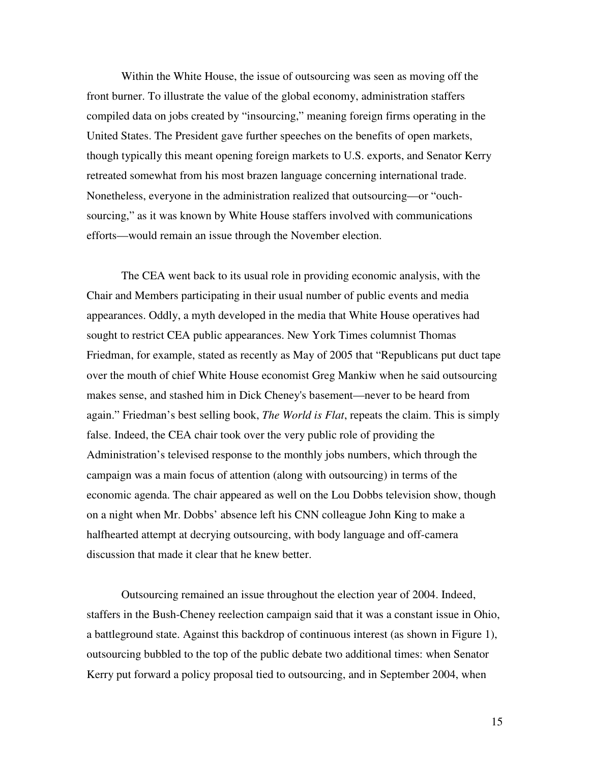Within the White House, the issue of outsourcing was seen as moving off the front burner. To illustrate the value of the global economy, administration staffers compiled data on jobs created by "insourcing," meaning foreign firms operating in the United States. The President gave further speeches on the benefits of open markets, though typically this meant opening foreign markets to U.S. exports, and Senator Kerry retreated somewhat from his most brazen language concerning international trade. Nonetheless, everyone in the administration realized that outsourcing—or "ouchsourcing," as it was known by White House staffers involved with communications efforts—would remain an issue through the November election.

The CEA went back to its usual role in providing economic analysis, with the Chair and Members participating in their usual number of public events and media appearances. Oddly, a myth developed in the media that White House operatives had sought to restrict CEA public appearances. New York Times columnist Thomas Friedman, for example, stated as recently as May of 2005 that "Republicans put duct tape over the mouth of chief White House economist Greg Mankiw when he said outsourcing makes sense, and stashed him in Dick Cheney's basement—never to be heard from again." Friedman's best selling book, *The World is Flat*, repeats the claim. This is simply false. Indeed, the CEA chair took over the very public role of providing the Administration's televised response to the monthly jobs numbers, which through the campaign was a main focus of attention (along with outsourcing) in terms of the economic agenda. The chair appeared as well on the Lou Dobbs television show, though on a night when Mr. Dobbs' absence left his CNN colleague John King to make a halfhearted attempt at decrying outsourcing, with body language and off-camera discussion that made it clear that he knew better.

Outsourcing remained an issue throughout the election year of 2004. Indeed, staffers in the Bush-Cheney reelection campaign said that it was a constant issue in Ohio, a battleground state. Against this backdrop of continuous interest (as shown in Figure 1), outsourcing bubbled to the top of the public debate two additional times: when Senator Kerry put forward a policy proposal tied to outsourcing, and in September 2004, when

15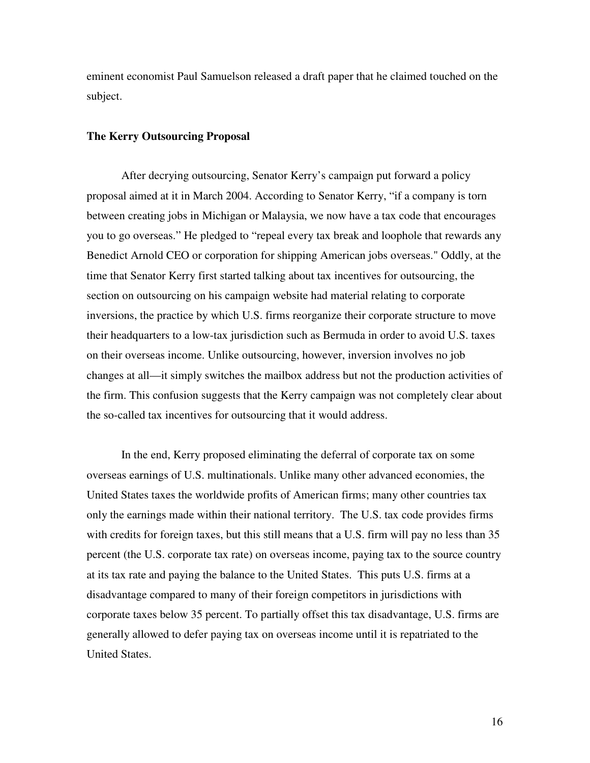eminent economist Paul Samuelson released a draft paper that he claimed touched on the subject.

# **The Kerry Outsourcing Proposal**

After decrying outsourcing, Senator Kerry's campaign put forward a policy proposal aimed at it in March 2004. According to Senator Kerry, "if a company is torn between creating jobs in Michigan or Malaysia, we now have a tax code that encourages you to go overseas." He pledged to "repeal every tax break and loophole that rewards any Benedict Arnold CEO or corporation for shipping American jobs overseas." Oddly, at the time that Senator Kerry first started talking about tax incentives for outsourcing, the section on outsourcing on his campaign website had material relating to corporate inversions, the practice by which U.S. firms reorganize their corporate structure to move their headquarters to a low-tax jurisdiction such as Bermuda in order to avoid U.S. taxes on their overseas income. Unlike outsourcing, however, inversion involves no job changes at all—it simply switches the mailbox address but not the production activities of the firm. This confusion suggests that the Kerry campaign was not completely clear about the so-called tax incentives for outsourcing that it would address.

In the end, Kerry proposed eliminating the deferral of corporate tax on some overseas earnings of U.S. multinationals. Unlike many other advanced economies, the United States taxes the worldwide profits of American firms; many other countries tax only the earnings made within their national territory. The U.S. tax code provides firms with credits for foreign taxes, but this still means that a U.S. firm will pay no less than 35 percent (the U.S. corporate tax rate) on overseas income, paying tax to the source country at its tax rate and paying the balance to the United States. This puts U.S. firms at a disadvantage compared to many of their foreign competitors in jurisdictions with corporate taxes below 35 percent. To partially offset this tax disadvantage, U.S. firms are generally allowed to defer paying tax on overseas income until it is repatriated to the United States.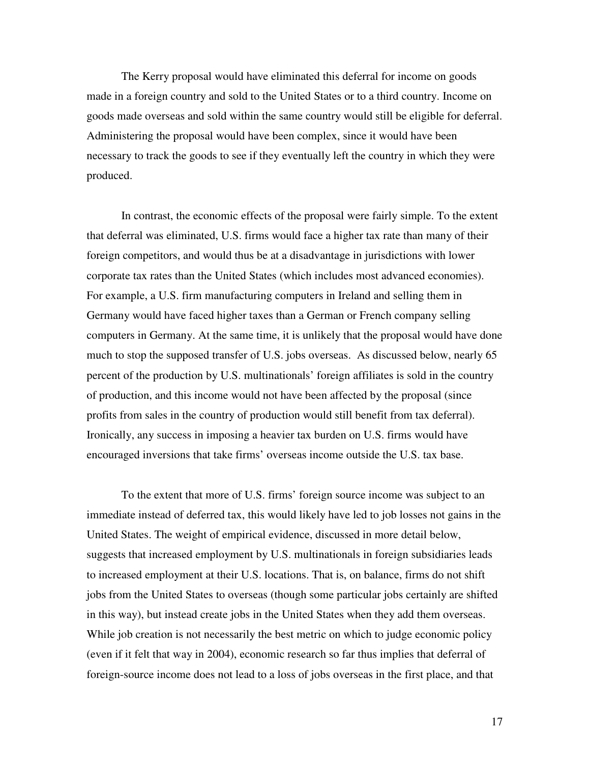The Kerry proposal would have eliminated this deferral for income on goods made in a foreign country and sold to the United States or to a third country. Income on goods made overseas and sold within the same country would still be eligible for deferral. Administering the proposal would have been complex, since it would have been necessary to track the goods to see if they eventually left the country in which they were produced.

In contrast, the economic effects of the proposal were fairly simple. To the extent that deferral was eliminated, U.S. firms would face a higher tax rate than many of their foreign competitors, and would thus be at a disadvantage in jurisdictions with lower corporate tax rates than the United States (which includes most advanced economies). For example, a U.S. firm manufacturing computers in Ireland and selling them in Germany would have faced higher taxes than a German or French company selling computers in Germany. At the same time, it is unlikely that the proposal would have done much to stop the supposed transfer of U.S. jobs overseas. As discussed below, nearly 65 percent of the production by U.S. multinationals' foreign affiliates is sold in the country of production, and this income would not have been affected by the proposal (since profits from sales in the country of production would still benefit from tax deferral). Ironically, any success in imposing a heavier tax burden on U.S. firms would have encouraged inversions that take firms' overseas income outside the U.S. tax base.

To the extent that more of U.S. firms' foreign source income was subject to an immediate instead of deferred tax, this would likely have led to job losses not gains in the United States. The weight of empirical evidence, discussed in more detail below, suggests that increased employment by U.S. multinationals in foreign subsidiaries leads to increased employment at their U.S. locations. That is, on balance, firms do not shift jobs from the United States to overseas (though some particular jobs certainly are shifted in this way), but instead create jobs in the United States when they add them overseas. While job creation is not necessarily the best metric on which to judge economic policy (even if it felt that way in 2004), economic research so far thus implies that deferral of foreign-source income does not lead to a loss of jobs overseas in the first place, and that

17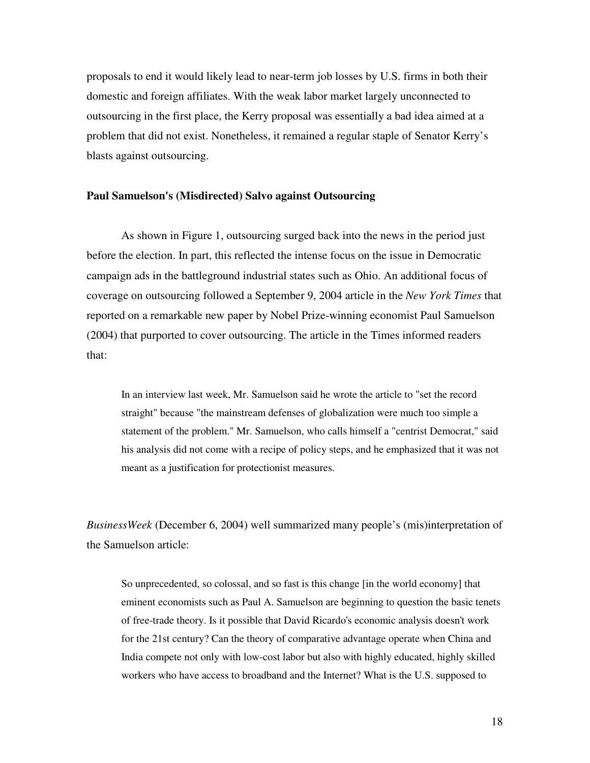proposals to end it would likely lead to near-term job losses by U.S. firms in both their domestic and foreign affiliates. With the weak labor market largely unconnected to outsourcing in the first place, the Kerry proposal was essentially a bad idea aimed at a problem that did not exist. Nonetheless, it remained a regular staple of Senator Kerry's blasts against outsourcing.

# **Paul Samuelson's (Misdirected) Salvo against Outsourcing**

As shown in Figure 1, outsourcing surged back into the news in the period just before the election. In part, this reflected the intense focus on the issue in Democratic campaign ads in the battleground industrial states such as Ohio. An additional focus of coverage on outsourcing followed a September 9, 2004 article in the *New York Times* that reported on a remarkable new paper by Nobel Prize-winning economist Paul Samuelson (2004) that purported to cover outsourcing. The article in the Times informed readers that:

In an interview last week, Mr. Samuelson said he wrote the article to "set the record straight" because "the mainstream defenses of globalization were much too simple a statement of the problem." Mr. Samuelson, who calls himself a "centrist Democrat," said his analysis did not come with a recipe of policy steps, and he emphasized that it was not meant as a justification for protectionist measures.

*BusinessWeek* (December 6, 2004) well summarized many people's (mis)interpretation of the Samuelson article:

So unprecedented, so colossal, and so fast is this change [in the world economy] that eminent economists such as Paul A. Samuelson are beginning to question the basic tenets of free-trade theory. Is it possible that David Ricardo's economic analysis doesn't work for the 21st century? Can the theory of comparative advantage operate when China and India compete not only with low-cost labor but also with highly educated, highly skilled workers who have access to broadband and the Internet? What is the U.S. supposed to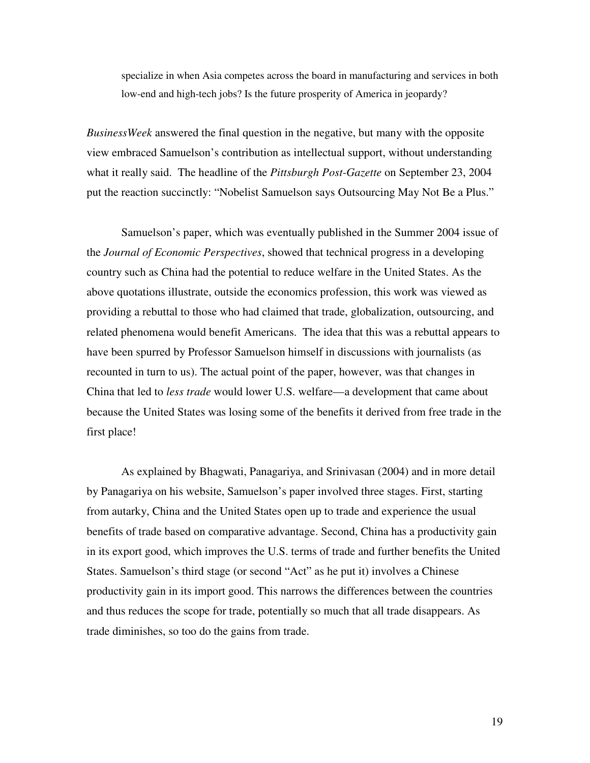specialize in when Asia competes across the board in manufacturing and services in both low-end and high-tech jobs? Is the future prosperity of America in jeopardy?

*BusinessWeek* answered the final question in the negative, but many with the opposite view embraced Samuelson's contribution as intellectual support, without understanding what it really said. The headline of the *Pittsburgh Post-Gazette* on September 23, 2004 put the reaction succinctly: "Nobelist Samuelson says Outsourcing May Not Be a Plus."

Samuelson's paper, which was eventually published in the Summer 2004 issue of the *Journal of Economic Perspectives*, showed that technical progress in a developing country such as China had the potential to reduce welfare in the United States. As the above quotations illustrate, outside the economics profession, this work was viewed as providing a rebuttal to those who had claimed that trade, globalization, outsourcing, and related phenomena would benefit Americans. The idea that this was a rebuttal appears to have been spurred by Professor Samuelson himself in discussions with journalists (as recounted in turn to us). The actual point of the paper, however, was that changes in China that led to *less trade* would lower U.S. welfare—a development that came about because the United States was losing some of the benefits it derived from free trade in the first place!

As explained by Bhagwati, Panagariya, and Srinivasan (2004) and in more detail by Panagariya on his website, Samuelson's paper involved three stages. First, starting from autarky, China and the United States open up to trade and experience the usual benefits of trade based on comparative advantage. Second, China has a productivity gain in its export good, which improves the U.S. terms of trade and further benefits the United States. Samuelson's third stage (or second "Act" as he put it) involves a Chinese productivity gain in its import good. This narrows the differences between the countries and thus reduces the scope for trade, potentially so much that all trade disappears. As trade diminishes, so too do the gains from trade.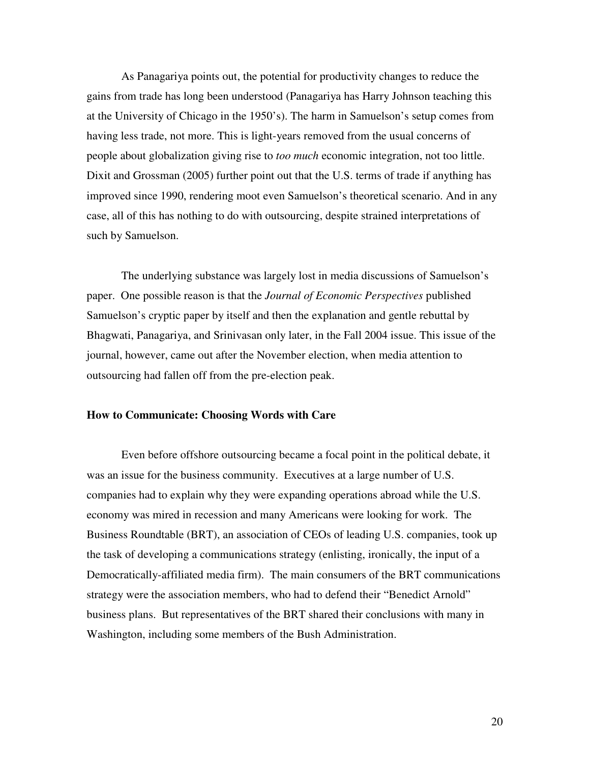As Panagariya points out, the potential for productivity changes to reduce the gains from trade has long been understood (Panagariya has Harry Johnson teaching this at the University of Chicago in the 1950's). The harm in Samuelson's setup comes from having less trade, not more. This is light-years removed from the usual concerns of people about globalization giving rise to *too much* economic integration, not too little. Dixit and Grossman (2005) further point out that the U.S. terms of trade if anything has improved since 1990, rendering moot even Samuelson's theoretical scenario. And in any case, all of this has nothing to do with outsourcing, despite strained interpretations of such by Samuelson.

The underlying substance was largely lost in media discussions of Samuelson's paper. One possible reason is that the *Journal of Economic Perspectives* published Samuelson's cryptic paper by itself and then the explanation and gentle rebuttal by Bhagwati, Panagariya, and Srinivasan only later, in the Fall 2004 issue. This issue of the journal, however, came out after the November election, when media attention to outsourcing had fallen off from the pre-election peak.

# **How to Communicate: Choosing Words with Care**

Even before offshore outsourcing became a focal point in the political debate, it was an issue for the business community. Executives at a large number of U.S. companies had to explain why they were expanding operations abroad while the U.S. economy was mired in recession and many Americans were looking for work. The Business Roundtable (BRT), an association of CEOs of leading U.S. companies, took up the task of developing a communications strategy (enlisting, ironically, the input of a Democratically-affiliated media firm). The main consumers of the BRT communications strategy were the association members, who had to defend their "Benedict Arnold" business plans. But representatives of the BRT shared their conclusions with many in Washington, including some members of the Bush Administration.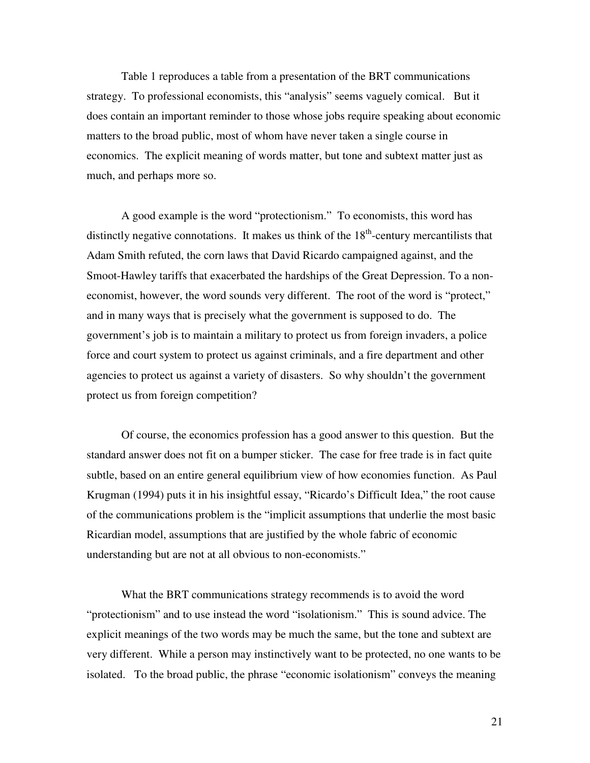Table 1 reproduces a table from a presentation of the BRT communications strategy. To professional economists, this "analysis" seems vaguely comical. But it does contain an important reminder to those whose jobs require speaking about economic matters to the broad public, most of whom have never taken a single course in economics. The explicit meaning of words matter, but tone and subtext matter just as much, and perhaps more so.

A good example is the word "protectionism." To economists, this word has distinctly negative connotations. It makes us think of the  $18<sup>th</sup>$ -century mercantilists that Adam Smith refuted, the corn laws that David Ricardo campaigned against, and the Smoot-Hawley tariffs that exacerbated the hardships of the Great Depression. To a noneconomist, however, the word sounds very different. The root of the word is "protect," and in many ways that is precisely what the government is supposed to do. The government's job is to maintain a military to protect us from foreign invaders, a police force and court system to protect us against criminals, and a fire department and other agencies to protect us against a variety of disasters. So why shouldn't the government protect us from foreign competition?

Of course, the economics profession has a good answer to this question. But the standard answer does not fit on a bumper sticker. The case for free trade is in fact quite subtle, based on an entire general equilibrium view of how economies function. As Paul Krugman (1994) puts it in his insightful essay, "Ricardo's Difficult Idea," the root cause of the communications problem is the "implicit assumptions that underlie the most basic Ricardian model, assumptions that are justified by the whole fabric of economic understanding but are not at all obvious to non-economists."

What the BRT communications strategy recommends is to avoid the word "protectionism" and to use instead the word "isolationism." This is sound advice. The explicit meanings of the two words may be much the same, but the tone and subtext are very different. While a person may instinctively want to be protected, no one wants to be isolated. To the broad public, the phrase "economic isolationism" conveys the meaning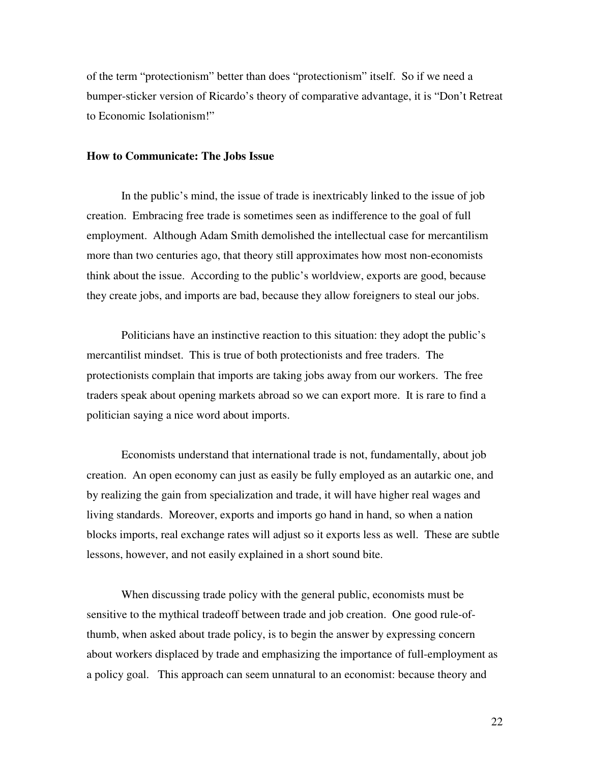of the term "protectionism" better than does "protectionism" itself. So if we need a bumper-sticker version of Ricardo's theory of comparative advantage, it is "Don't Retreat to Economic Isolationism!"

# **How to Communicate: The Jobs Issue**

In the public's mind, the issue of trade is inextricably linked to the issue of job creation. Embracing free trade is sometimes seen as indifference to the goal of full employment. Although Adam Smith demolished the intellectual case for mercantilism more than two centuries ago, that theory still approximates how most non-economists think about the issue. According to the public's worldview, exports are good, because they create jobs, and imports are bad, because they allow foreigners to steal our jobs.

Politicians have an instinctive reaction to this situation: they adopt the public's mercantilist mindset. This is true of both protectionists and free traders. The protectionists complain that imports are taking jobs away from our workers. The free traders speak about opening markets abroad so we can export more. It is rare to find a politician saying a nice word about imports.

Economists understand that international trade is not, fundamentally, about job creation. An open economy can just as easily be fully employed as an autarkic one, and by realizing the gain from specialization and trade, it will have higher real wages and living standards. Moreover, exports and imports go hand in hand, so when a nation blocks imports, real exchange rates will adjust so it exports less as well. These are subtle lessons, however, and not easily explained in a short sound bite.

When discussing trade policy with the general public, economists must be sensitive to the mythical tradeoff between trade and job creation. One good rule-ofthumb, when asked about trade policy, is to begin the answer by expressing concern about workers displaced by trade and emphasizing the importance of full-employment as a policy goal. This approach can seem unnatural to an economist: because theory and

22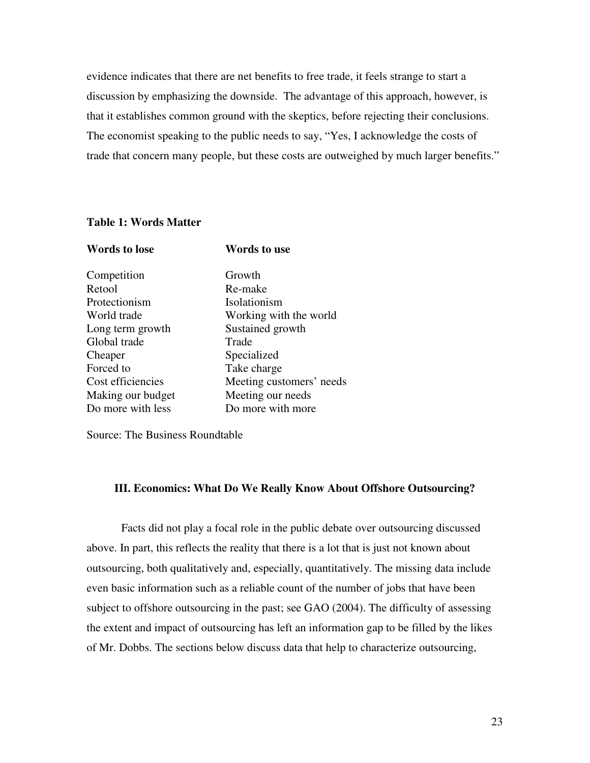evidence indicates that there are net benefits to free trade, it feels strange to start a discussion by emphasizing the downside. The advantage of this approach, however, is that it establishes common ground with the skeptics, before rejecting their conclusions. The economist speaking to the public needs to say, "Yes, I acknowledge the costs of trade that concern many people, but these costs are outweighed by much larger benefits."

# **Table 1: Words Matter**

| <b>Words to use</b>      |
|--------------------------|
| Growth                   |
| Re-make                  |
| Isolationism             |
| Working with the world   |
| Sustained growth         |
| Trade                    |
| Specialized              |
| Take charge              |
| Meeting customers' needs |
| Meeting our needs        |
| Do more with more        |
|                          |

Source: The Business Roundtable

# **III. Economics: What Do We Really Know About Offshore Outsourcing?**

Facts did not play a focal role in the public debate over outsourcing discussed above. In part, this reflects the reality that there is a lot that is just not known about outsourcing, both qualitatively and, especially, quantitatively. The missing data include even basic information such as a reliable count of the number of jobs that have been subject to offshore outsourcing in the past; see GAO (2004). The difficulty of assessing the extent and impact of outsourcing has left an information gap to be filled by the likes of Mr. Dobbs. The sections below discuss data that help to characterize outsourcing,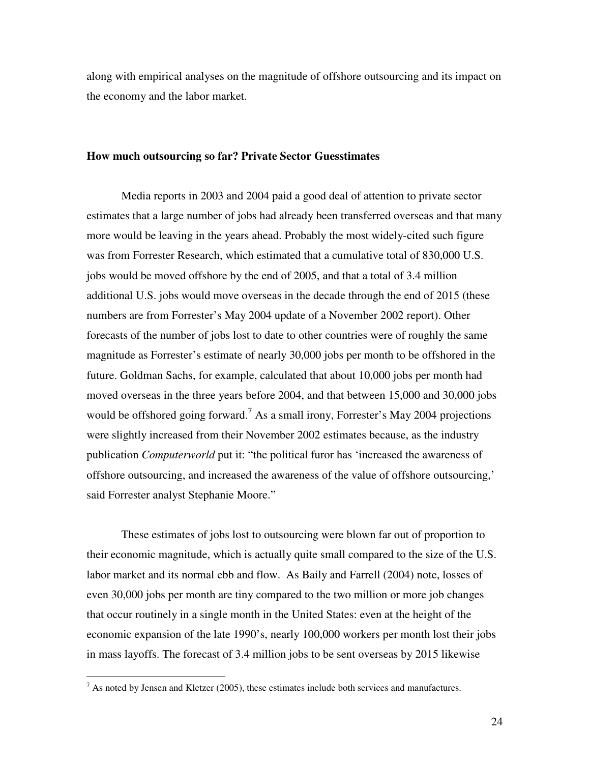along with empirical analyses on the magnitude of offshore outsourcing and its impact on the economy and the labor market.

# **How much outsourcing so far? Private Sector Guesstimates**

Media reports in 2003 and 2004 paid a good deal of attention to private sector estimates that a large number of jobs had already been transferred overseas and that many more would be leaving in the years ahead. Probably the most widely-cited such figure was from Forrester Research, which estimated that a cumulative total of 830,000 U.S. jobs would be moved offshore by the end of 2005, and that a total of 3.4 million additional U.S. jobs would move overseas in the decade through the end of 2015 (these numbers are from Forrester's May 2004 update of a November 2002 report). Other forecasts of the number of jobs lost to date to other countries were of roughly the same magnitude as Forrester's estimate of nearly 30,000 jobs per month to be offshored in the future. Goldman Sachs, for example, calculated that about 10,000 jobs per month had moved overseas in the three years before 2004, and that between 15,000 and 30,000 jobs would be offshored going forward.<sup>7</sup> As a small irony, Forrester's May 2004 projections were slightly increased from their November 2002 estimates because, as the industry publication *Computerworld* put it: "the political furor has 'increased the awareness of offshore outsourcing, and increased the awareness of the value of offshore outsourcing,' said Forrester analyst Stephanie Moore."

These estimates of jobs lost to outsourcing were blown far out of proportion to their economic magnitude, which is actually quite small compared to the size of the U.S. labor market and its normal ebb and flow. As Baily and Farrell (2004) note, losses of even 30,000 jobs per month are tiny compared to the two million or more job changes that occur routinely in a single month in the United States: even at the height of the economic expansion of the late 1990's, nearly 100,000 workers per month lost their jobs in mass layoffs. The forecast of 3.4 million jobs to be sent overseas by 2015 likewise

 $<sup>7</sup>$  As noted by Jensen and Kletzer (2005), these estimates include both services and manufactures.</sup>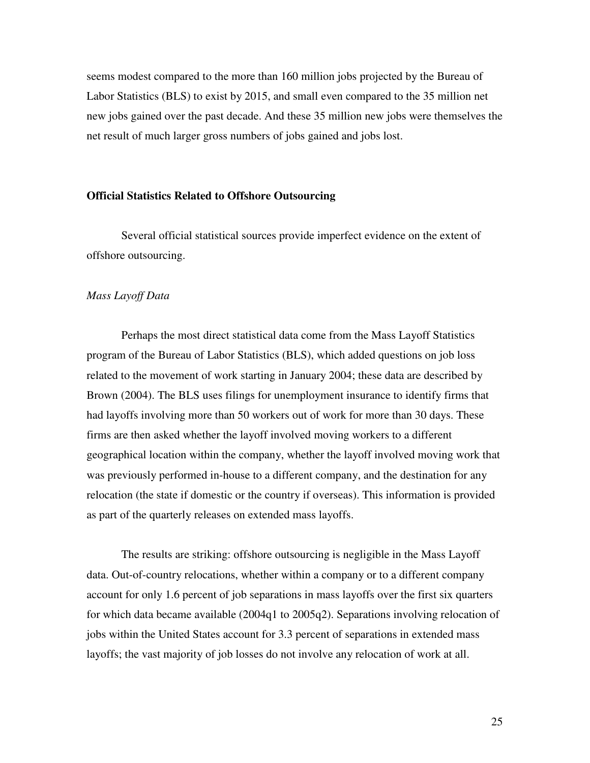seems modest compared to the more than 160 million jobs projected by the Bureau of Labor Statistics (BLS) to exist by 2015, and small even compared to the 35 million net new jobs gained over the past decade. And these 35 million new jobs were themselves the net result of much larger gross numbers of jobs gained and jobs lost.

### **Official Statistics Related to Offshore Outsourcing**

Several official statistical sources provide imperfect evidence on the extent of offshore outsourcing.

#### *Mass Layoff Data*

Perhaps the most direct statistical data come from the Mass Layoff Statistics program of the Bureau of Labor Statistics (BLS), which added questions on job loss related to the movement of work starting in January 2004; these data are described by Brown (2004). The BLS uses filings for unemployment insurance to identify firms that had layoffs involving more than 50 workers out of work for more than 30 days. These firms are then asked whether the layoff involved moving workers to a different geographical location within the company, whether the layoff involved moving work that was previously performed in-house to a different company, and the destination for any relocation (the state if domestic or the country if overseas). This information is provided as part of the quarterly releases on extended mass layoffs.

The results are striking: offshore outsourcing is negligible in the Mass Layoff data. Out-of-country relocations, whether within a company or to a different company account for only 1.6 percent of job separations in mass layoffs over the first six quarters for which data became available (2004q1 to 2005q2). Separations involving relocation of jobs within the United States account for 3.3 percent of separations in extended mass layoffs; the vast majority of job losses do not involve any relocation of work at all.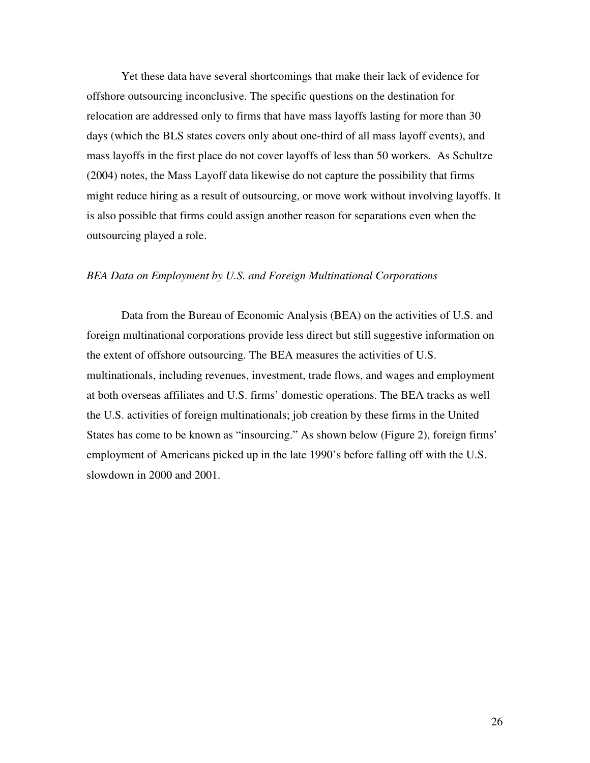Yet these data have several shortcomings that make their lack of evidence for offshore outsourcing inconclusive. The specific questions on the destination for relocation are addressed only to firms that have mass layoffs lasting for more than 30 days (which the BLS states covers only about one-third of all mass layoff events), and mass layoffs in the first place do not cover layoffs of less than 50 workers. As Schultze (2004) notes, the Mass Layoff data likewise do not capture the possibility that firms might reduce hiring as a result of outsourcing, or move work without involving layoffs. It is also possible that firms could assign another reason for separations even when the outsourcing played a role.

# *BEA Data on Employment by U.S. and Foreign Multinational Corporations*

Data from the Bureau of Economic Analysis (BEA) on the activities of U.S. and foreign multinational corporations provide less direct but still suggestive information on the extent of offshore outsourcing. The BEA measures the activities of U.S. multinationals, including revenues, investment, trade flows, and wages and employment at both overseas affiliates and U.S. firms' domestic operations. The BEA tracks as well the U.S. activities of foreign multinationals; job creation by these firms in the United States has come to be known as "insourcing." As shown below (Figure 2), foreign firms' employment of Americans picked up in the late 1990's before falling off with the U.S. slowdown in 2000 and 2001.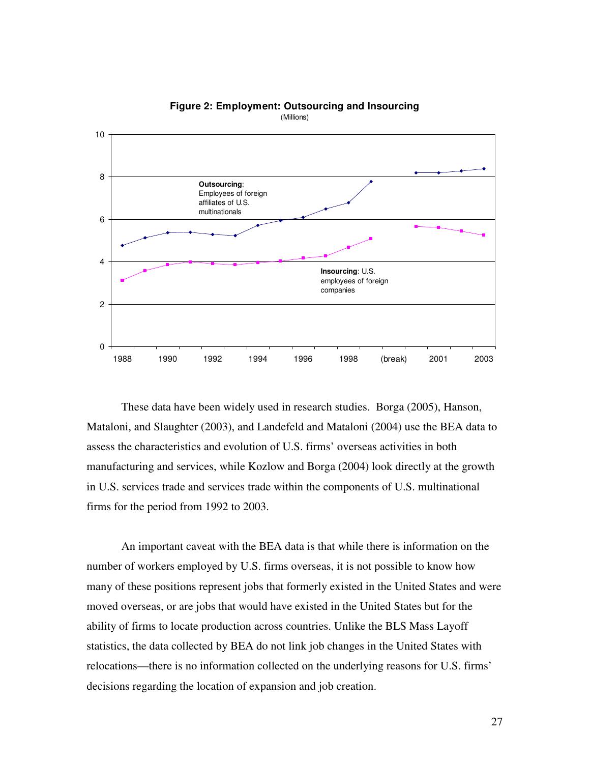

**Figure 2: Employment: Outsourcing and Insourcing**

These data have been widely used in research studies. Borga (2005), Hanson, Mataloni, and Slaughter (2003), and Landefeld and Mataloni (2004) use the BEA data to assess the characteristics and evolution of U.S. firms' overseas activities in both manufacturing and services, while Kozlow and Borga (2004) look directly at the growth in U.S. services trade and services trade within the components of U.S. multinational firms for the period from 1992 to 2003.

An important caveat with the BEA data is that while there is information on the number of workers employed by U.S. firms overseas, it is not possible to know how many of these positions represent jobs that formerly existed in the United States and were moved overseas, or are jobs that would have existed in the United States but for the ability of firms to locate production across countries. Unlike the BLS Mass Layoff statistics, the data collected by BEA do not link job changes in the United States with relocations—there is no information collected on the underlying reasons for U.S. firms' decisions regarding the location of expansion and job creation.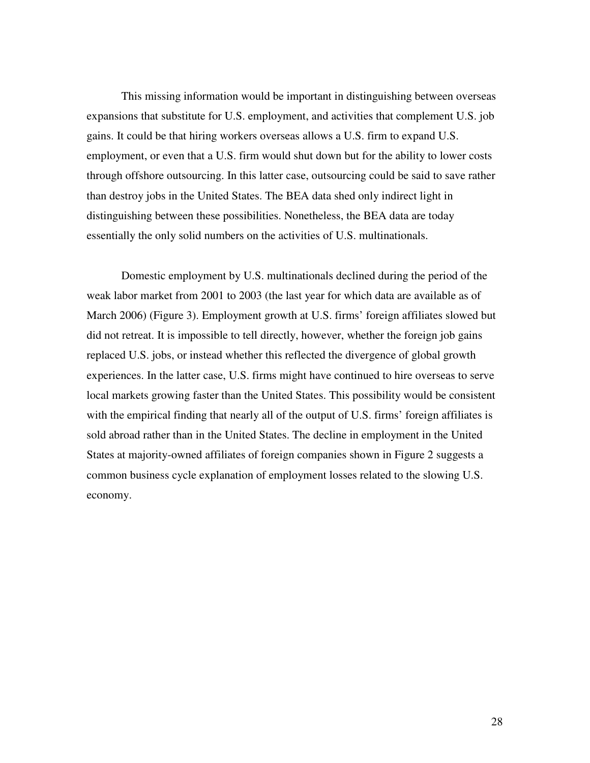This missing information would be important in distinguishing between overseas expansions that substitute for U.S. employment, and activities that complement U.S. job gains. It could be that hiring workers overseas allows a U.S. firm to expand U.S. employment, or even that a U.S. firm would shut down but for the ability to lower costs through offshore outsourcing. In this latter case, outsourcing could be said to save rather than destroy jobs in the United States. The BEA data shed only indirect light in distinguishing between these possibilities. Nonetheless, the BEA data are today essentially the only solid numbers on the activities of U.S. multinationals.

Domestic employment by U.S. multinationals declined during the period of the weak labor market from 2001 to 2003 (the last year for which data are available as of March 2006) (Figure 3). Employment growth at U.S. firms' foreign affiliates slowed but did not retreat. It is impossible to tell directly, however, whether the foreign job gains replaced U.S. jobs, or instead whether this reflected the divergence of global growth experiences. In the latter case, U.S. firms might have continued to hire overseas to serve local markets growing faster than the United States. This possibility would be consistent with the empirical finding that nearly all of the output of U.S. firms' foreign affiliates is sold abroad rather than in the United States. The decline in employment in the United States at majority-owned affiliates of foreign companies shown in Figure 2 suggests a common business cycle explanation of employment losses related to the slowing U.S. economy.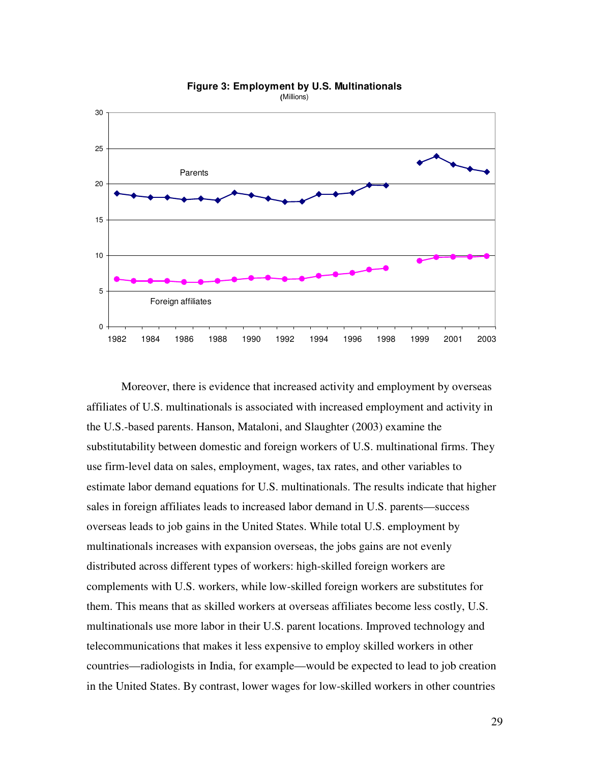

# **Figure 3: Employment by U.S. Multinationals**

Moreover, there is evidence that increased activity and employment by overseas affiliates of U.S. multinationals is associated with increased employment and activity in the U.S.-based parents. Hanson, Mataloni, and Slaughter (2003) examine the substitutability between domestic and foreign workers of U.S. multinational firms. They use firm-level data on sales, employment, wages, tax rates, and other variables to estimate labor demand equations for U.S. multinationals. The results indicate that higher sales in foreign affiliates leads to increased labor demand in U.S. parents—success overseas leads to job gains in the United States. While total U.S. employment by multinationals increases with expansion overseas, the jobs gains are not evenly distributed across different types of workers: high-skilled foreign workers are complements with U.S. workers, while low-skilled foreign workers are substitutes for them. This means that as skilled workers at overseas affiliates become less costly, U.S. multinationals use more labor in their U.S. parent locations. Improved technology and telecommunications that makes it less expensive to employ skilled workers in other countries—radiologists in India, for example—would be expected to lead to job creation in the United States. By contrast, lower wages for low-skilled workers in other countries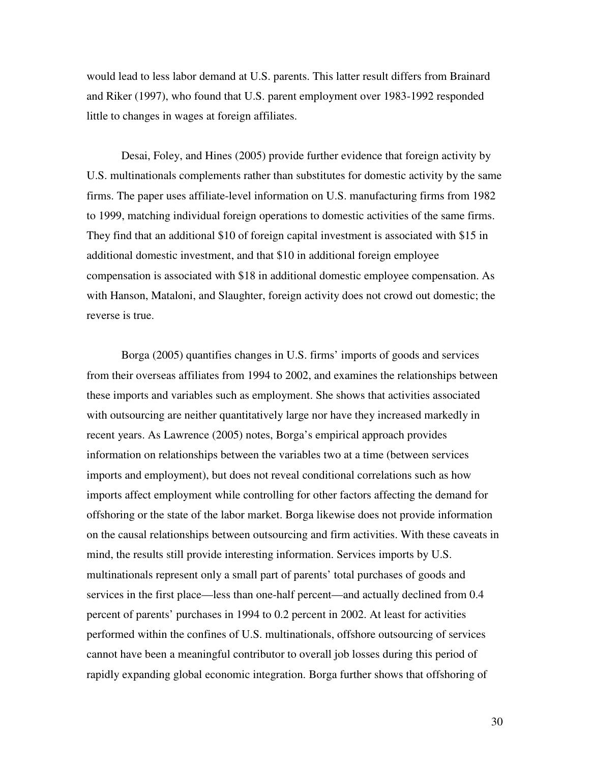would lead to less labor demand at U.S. parents. This latter result differs from Brainard and Riker (1997), who found that U.S. parent employment over 1983-1992 responded little to changes in wages at foreign affiliates.

Desai, Foley, and Hines (2005) provide further evidence that foreign activity by U.S. multinationals complements rather than substitutes for domestic activity by the same firms. The paper uses affiliate-level information on U.S. manufacturing firms from 1982 to 1999, matching individual foreign operations to domestic activities of the same firms. They find that an additional \$10 of foreign capital investment is associated with \$15 in additional domestic investment, and that \$10 in additional foreign employee compensation is associated with \$18 in additional domestic employee compensation. As with Hanson, Mataloni, and Slaughter, foreign activity does not crowd out domestic; the reverse is true.

Borga (2005) quantifies changes in U.S. firms' imports of goods and services from their overseas affiliates from 1994 to 2002, and examines the relationships between these imports and variables such as employment. She shows that activities associated with outsourcing are neither quantitatively large nor have they increased markedly in recent years. As Lawrence (2005) notes, Borga's empirical approach provides information on relationships between the variables two at a time (between services imports and employment), but does not reveal conditional correlations such as how imports affect employment while controlling for other factors affecting the demand for offshoring or the state of the labor market. Borga likewise does not provide information on the causal relationships between outsourcing and firm activities. With these caveats in mind, the results still provide interesting information. Services imports by U.S. multinationals represent only a small part of parents' total purchases of goods and services in the first place—less than one-half percent—and actually declined from 0.4 percent of parents' purchases in 1994 to 0.2 percent in 2002. At least for activities performed within the confines of U.S. multinationals, offshore outsourcing of services cannot have been a meaningful contributor to overall job losses during this period of rapidly expanding global economic integration. Borga further shows that offshoring of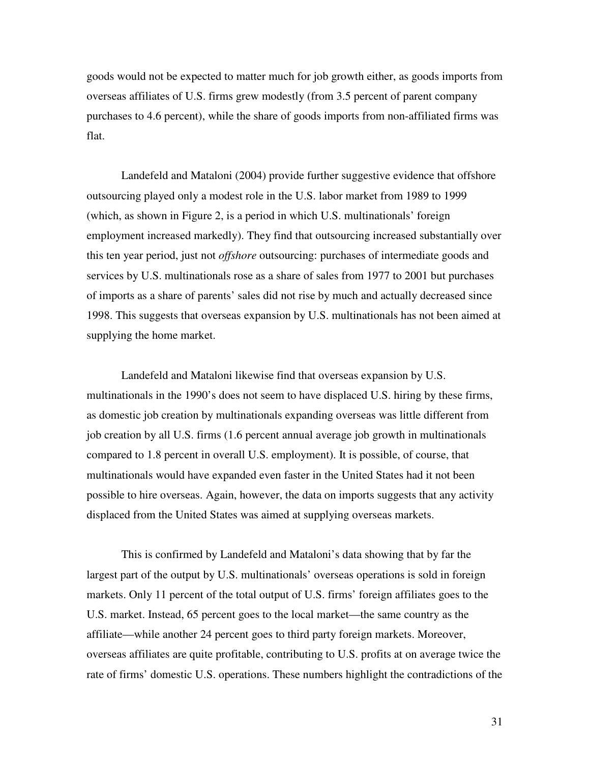goods would not be expected to matter much for job growth either, as goods imports from overseas affiliates of U.S. firms grew modestly (from 3.5 percent of parent company purchases to 4.6 percent), while the share of goods imports from non-affiliated firms was flat.

Landefeld and Mataloni (2004) provide further suggestive evidence that offshore outsourcing played only a modest role in the U.S. labor market from 1989 to 1999 (which, as shown in Figure 2, is a period in which U.S. multinationals' foreign employment increased markedly). They find that outsourcing increased substantially over this ten year period, just not *offshore* outsourcing: purchases of intermediate goods and services by U.S. multinationals rose as a share of sales from 1977 to 2001 but purchases of imports as a share of parents' sales did not rise by much and actually decreased since 1998. This suggests that overseas expansion by U.S. multinationals has not been aimed at supplying the home market.

Landefeld and Mataloni likewise find that overseas expansion by U.S. multinationals in the 1990's does not seem to have displaced U.S. hiring by these firms, as domestic job creation by multinationals expanding overseas was little different from job creation by all U.S. firms (1.6 percent annual average job growth in multinationals compared to 1.8 percent in overall U.S. employment). It is possible, of course, that multinationals would have expanded even faster in the United States had it not been possible to hire overseas. Again, however, the data on imports suggests that any activity displaced from the United States was aimed at supplying overseas markets.

This is confirmed by Landefeld and Mataloni's data showing that by far the largest part of the output by U.S. multinationals' overseas operations is sold in foreign markets. Only 11 percent of the total output of U.S. firms' foreign affiliates goes to the U.S. market. Instead, 65 percent goes to the local market—the same country as the affiliate—while another 24 percent goes to third party foreign markets. Moreover, overseas affiliates are quite profitable, contributing to U.S. profits at on average twice the rate of firms' domestic U.S. operations. These numbers highlight the contradictions of the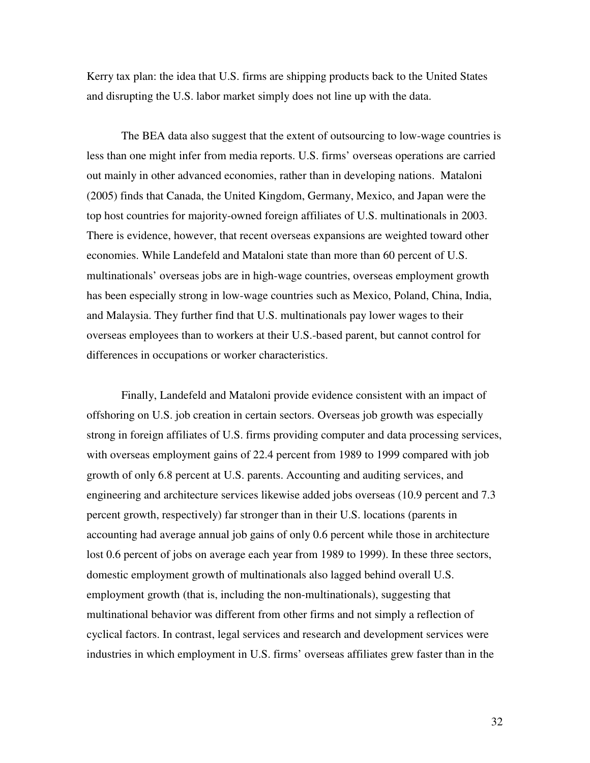Kerry tax plan: the idea that U.S. firms are shipping products back to the United States and disrupting the U.S. labor market simply does not line up with the data.

The BEA data also suggest that the extent of outsourcing to low-wage countries is less than one might infer from media reports. U.S. firms' overseas operations are carried out mainly in other advanced economies, rather than in developing nations. Mataloni (2005) finds that Canada, the United Kingdom, Germany, Mexico, and Japan were the top host countries for majority-owned foreign affiliates of U.S. multinationals in 2003. There is evidence, however, that recent overseas expansions are weighted toward other economies. While Landefeld and Mataloni state than more than 60 percent of U.S. multinationals' overseas jobs are in high-wage countries, overseas employment growth has been especially strong in low-wage countries such as Mexico, Poland, China, India, and Malaysia. They further find that U.S. multinationals pay lower wages to their overseas employees than to workers at their U.S.-based parent, but cannot control for differences in occupations or worker characteristics.

Finally, Landefeld and Mataloni provide evidence consistent with an impact of offshoring on U.S. job creation in certain sectors. Overseas job growth was especially strong in foreign affiliates of U.S. firms providing computer and data processing services, with overseas employment gains of 22.4 percent from 1989 to 1999 compared with job growth of only 6.8 percent at U.S. parents. Accounting and auditing services, and engineering and architecture services likewise added jobs overseas (10.9 percent and 7.3 percent growth, respectively) far stronger than in their U.S. locations (parents in accounting had average annual job gains of only 0.6 percent while those in architecture lost 0.6 percent of jobs on average each year from 1989 to 1999). In these three sectors, domestic employment growth of multinationals also lagged behind overall U.S. employment growth (that is, including the non-multinationals), suggesting that multinational behavior was different from other firms and not simply a reflection of cyclical factors. In contrast, legal services and research and development services were industries in which employment in U.S. firms' overseas affiliates grew faster than in the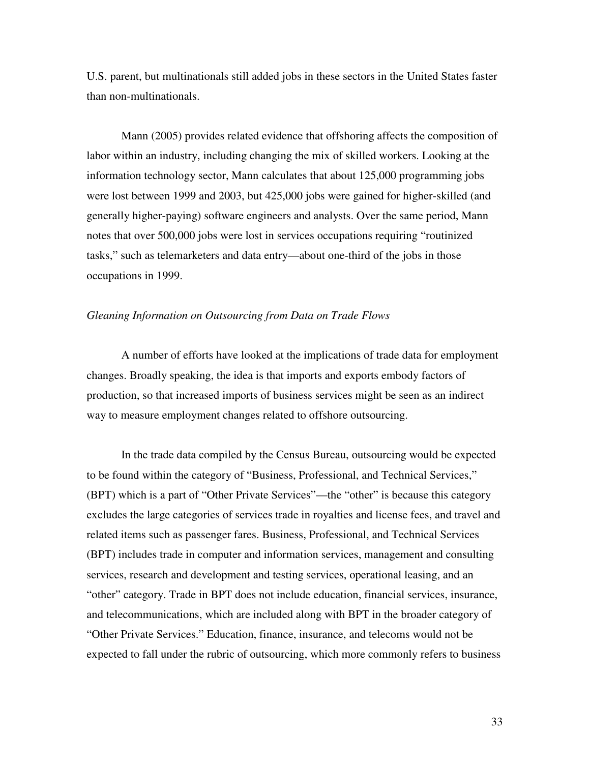U.S. parent, but multinationals still added jobs in these sectors in the United States faster than non-multinationals.

Mann (2005) provides related evidence that offshoring affects the composition of labor within an industry, including changing the mix of skilled workers. Looking at the information technology sector, Mann calculates that about 125,000 programming jobs were lost between 1999 and 2003, but 425,000 jobs were gained for higher-skilled (and generally higher-paying) software engineers and analysts. Over the same period, Mann notes that over 500,000 jobs were lost in services occupations requiring "routinized tasks," such as telemarketers and data entry—about one-third of the jobs in those occupations in 1999.

#### *Gleaning Information on Outsourcing from Data on Trade Flows*

A number of efforts have looked at the implications of trade data for employment changes. Broadly speaking, the idea is that imports and exports embody factors of production, so that increased imports of business services might be seen as an indirect way to measure employment changes related to offshore outsourcing.

In the trade data compiled by the Census Bureau, outsourcing would be expected to be found within the category of "Business, Professional, and Technical Services," (BPT) which is a part of "Other Private Services"—the "other" is because this category excludes the large categories of services trade in royalties and license fees, and travel and related items such as passenger fares. Business, Professional, and Technical Services (BPT) includes trade in computer and information services, management and consulting services, research and development and testing services, operational leasing, and an "other" category. Trade in BPT does not include education, financial services, insurance, and telecommunications, which are included along with BPT in the broader category of "Other Private Services." Education, finance, insurance, and telecoms would not be expected to fall under the rubric of outsourcing, which more commonly refers to business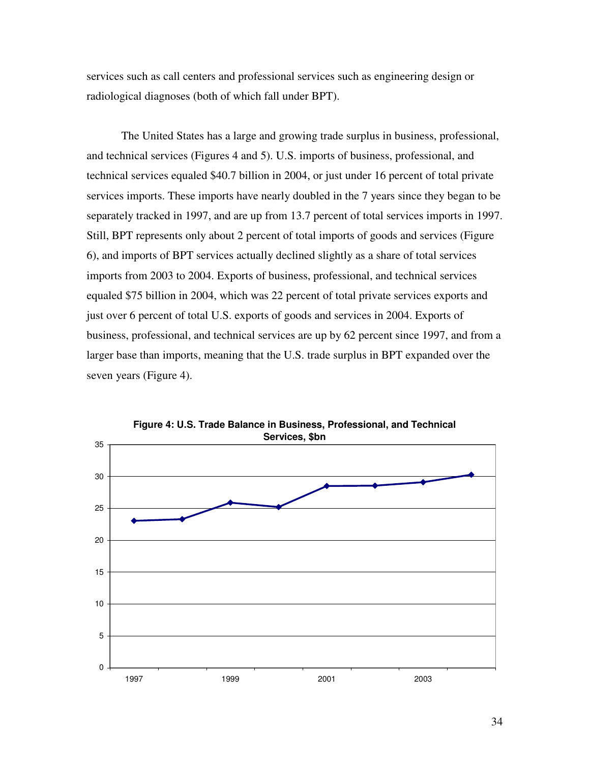services such as call centers and professional services such as engineering design or radiological diagnoses (both of which fall under BPT).

The United States has a large and growing trade surplus in business, professional, and technical services (Figures 4 and 5). U.S. imports of business, professional, and technical services equaled \$40.7 billion in 2004, or just under 16 percent of total private services imports. These imports have nearly doubled in the 7 years since they began to be separately tracked in 1997, and are up from 13.7 percent of total services imports in 1997. Still, BPT represents only about 2 percent of total imports of goods and services (Figure 6), and imports of BPT services actually declined slightly as a share of total services imports from 2003 to 2004. Exports of business, professional, and technical services equaled \$75 billion in 2004, which was 22 percent of total private services exports and just over 6 percent of total U.S. exports of goods and services in 2004. Exports of business, professional, and technical services are up by 62 percent since 1997, and from a larger base than imports, meaning that the U.S. trade surplus in BPT expanded over the seven years (Figure 4).



**Figure 4: U.S. Trade Balance in Business, Professional, and Technical**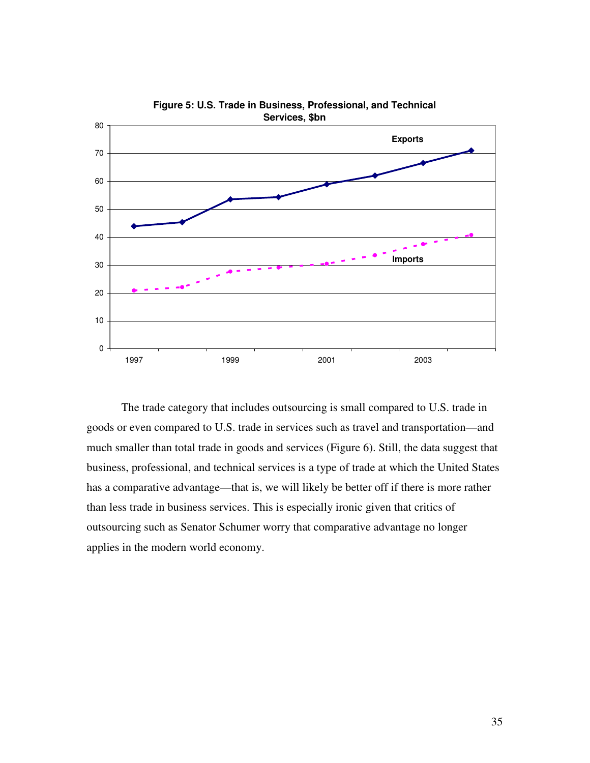

**Figure 5: U.S. Trade in Business, Professional, and Technical**

The trade category that includes outsourcing is small compared to U.S. trade in goods or even compared to U.S. trade in services such as travel and transportation—and much smaller than total trade in goods and services (Figure 6). Still, the data suggest that business, professional, and technical services is a type of trade at which the United States has a comparative advantage—that is, we will likely be better off if there is more rather than less trade in business services. This is especially ironic given that critics of outsourcing such as Senator Schumer worry that comparative advantage no longer applies in the modern world economy.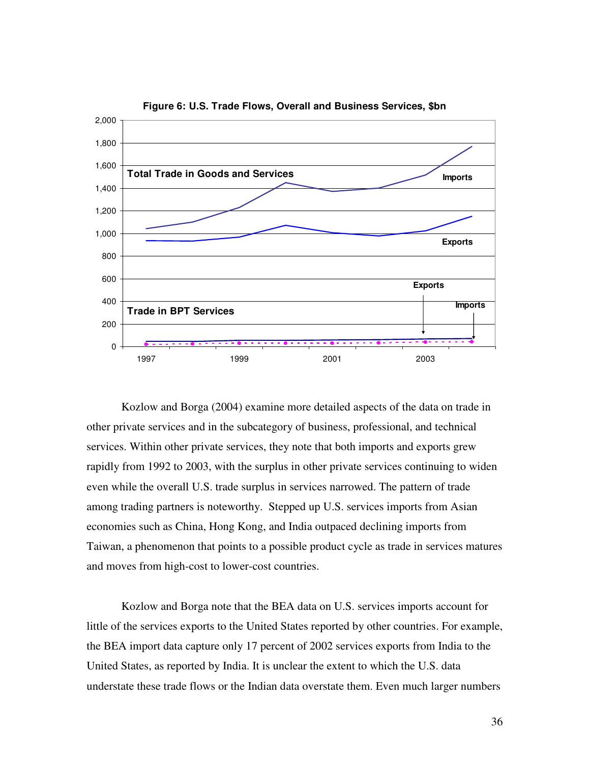

**Figure 6: U.S. Trade Flows, Overall and Business Services, \$bn**

Kozlow and Borga (2004) examine more detailed aspects of the data on trade in other private services and in the subcategory of business, professional, and technical services. Within other private services, they note that both imports and exports grew rapidly from 1992 to 2003, with the surplus in other private services continuing to widen even while the overall U.S. trade surplus in services narrowed. The pattern of trade among trading partners is noteworthy. Stepped up U.S. services imports from Asian economies such as China, Hong Kong, and India outpaced declining imports from Taiwan, a phenomenon that points to a possible product cycle as trade in services matures and moves from high-cost to lower-cost countries.

Kozlow and Borga note that the BEA data on U.S. services imports account for little of the services exports to the United States reported by other countries. For example, the BEA import data capture only 17 percent of 2002 services exports from India to the United States, as reported by India. It is unclear the extent to which the U.S. data understate these trade flows or the Indian data overstate them. Even much larger numbers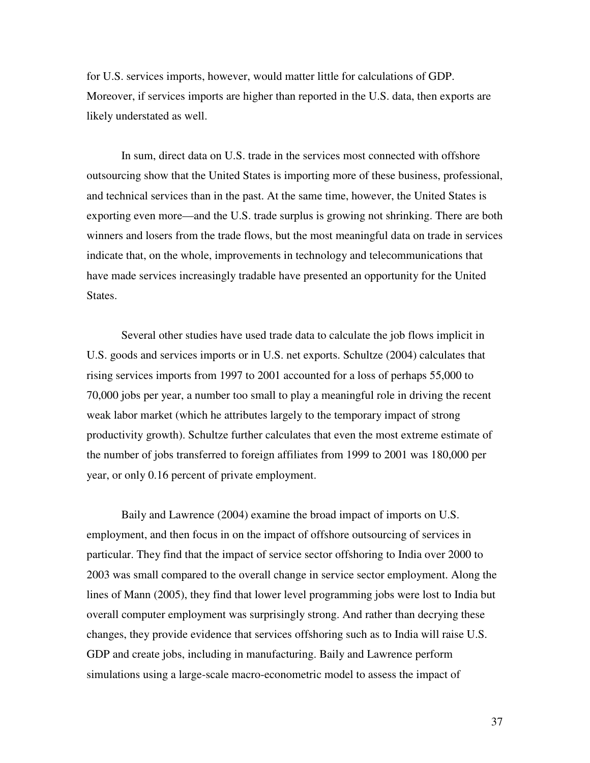for U.S. services imports, however, would matter little for calculations of GDP. Moreover, if services imports are higher than reported in the U.S. data, then exports are likely understated as well.

In sum, direct data on U.S. trade in the services most connected with offshore outsourcing show that the United States is importing more of these business, professional, and technical services than in the past. At the same time, however, the United States is exporting even more—and the U.S. trade surplus is growing not shrinking. There are both winners and losers from the trade flows, but the most meaningful data on trade in services indicate that, on the whole, improvements in technology and telecommunications that have made services increasingly tradable have presented an opportunity for the United States.

Several other studies have used trade data to calculate the job flows implicit in U.S. goods and services imports or in U.S. net exports. Schultze (2004) calculates that rising services imports from 1997 to 2001 accounted for a loss of perhaps 55,000 to 70,000 jobs per year, a number too small to play a meaningful role in driving the recent weak labor market (which he attributes largely to the temporary impact of strong productivity growth). Schultze further calculates that even the most extreme estimate of the number of jobs transferred to foreign affiliates from 1999 to 2001 was 180,000 per year, or only 0.16 percent of private employment.

Baily and Lawrence (2004) examine the broad impact of imports on U.S. employment, and then focus in on the impact of offshore outsourcing of services in particular. They find that the impact of service sector offshoring to India over 2000 to 2003 was small compared to the overall change in service sector employment. Along the lines of Mann (2005), they find that lower level programming jobs were lost to India but overall computer employment was surprisingly strong. And rather than decrying these changes, they provide evidence that services offshoring such as to India will raise U.S. GDP and create jobs, including in manufacturing. Baily and Lawrence perform simulations using a large-scale macro-econometric model to assess the impact of

37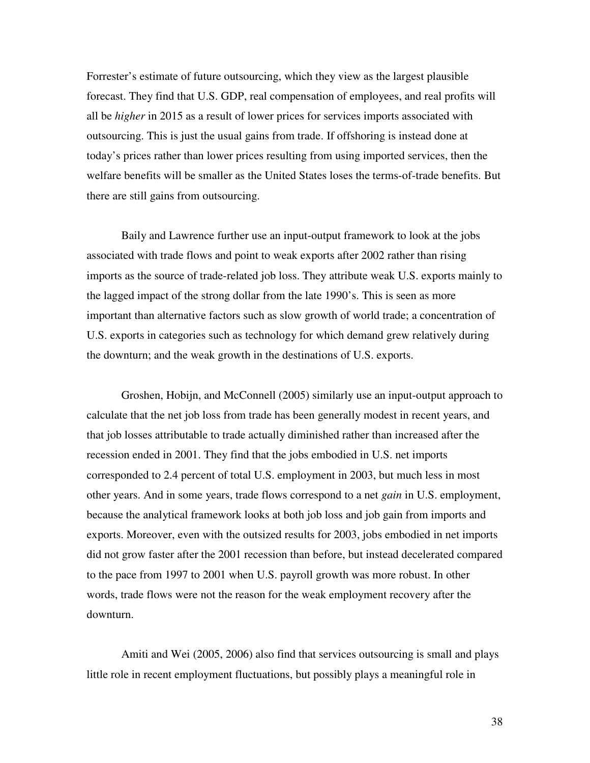Forrester's estimate of future outsourcing, which they view as the largest plausible forecast. They find that U.S. GDP, real compensation of employees, and real profits will all be *higher* in 2015 as a result of lower prices for services imports associated with outsourcing. This is just the usual gains from trade. If offshoring is instead done at today's prices rather than lower prices resulting from using imported services, then the welfare benefits will be smaller as the United States loses the terms-of-trade benefits. But there are still gains from outsourcing.

Baily and Lawrence further use an input-output framework to look at the jobs associated with trade flows and point to weak exports after 2002 rather than rising imports as the source of trade-related job loss. They attribute weak U.S. exports mainly to the lagged impact of the strong dollar from the late 1990's. This is seen as more important than alternative factors such as slow growth of world trade; a concentration of U.S. exports in categories such as technology for which demand grew relatively during the downturn; and the weak growth in the destinations of U.S. exports.

Groshen, Hobijn, and McConnell (2005) similarly use an input-output approach to calculate that the net job loss from trade has been generally modest in recent years, and that job losses attributable to trade actually diminished rather than increased after the recession ended in 2001. They find that the jobs embodied in U.S. net imports corresponded to 2.4 percent of total U.S. employment in 2003, but much less in most other years. And in some years, trade flows correspond to a net *gain* in U.S. employment, because the analytical framework looks at both job loss and job gain from imports and exports. Moreover, even with the outsized results for 2003, jobs embodied in net imports did not grow faster after the 2001 recession than before, but instead decelerated compared to the pace from 1997 to 2001 when U.S. payroll growth was more robust. In other words, trade flows were not the reason for the weak employment recovery after the downturn.

Amiti and Wei (2005, 2006) also find that services outsourcing is small and plays little role in recent employment fluctuations, but possibly plays a meaningful role in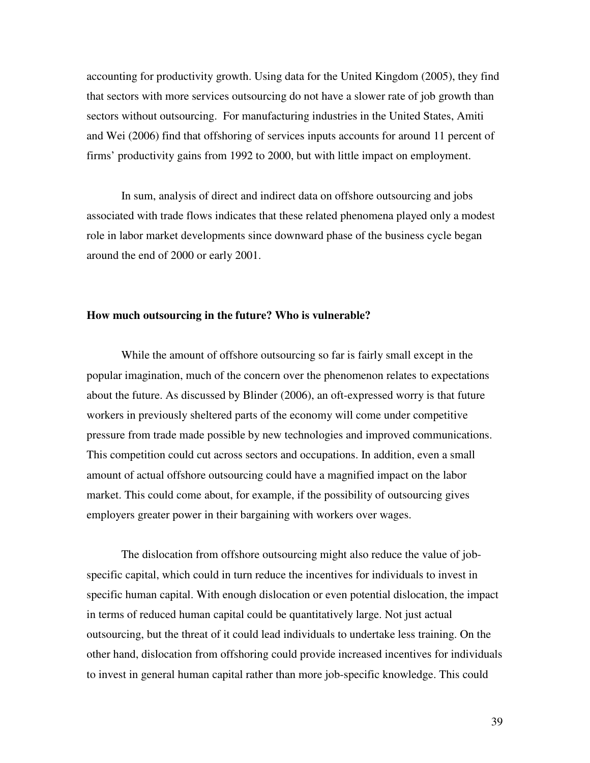accounting for productivity growth. Using data for the United Kingdom (2005), they find that sectors with more services outsourcing do not have a slower rate of job growth than sectors without outsourcing. For manufacturing industries in the United States, Amiti and Wei (2006) find that offshoring of services inputs accounts for around 11 percent of firms' productivity gains from 1992 to 2000, but with little impact on employment.

In sum, analysis of direct and indirect data on offshore outsourcing and jobs associated with trade flows indicates that these related phenomena played only a modest role in labor market developments since downward phase of the business cycle began around the end of 2000 or early 2001.

# **How much outsourcing in the future? Who is vulnerable?**

While the amount of offshore outsourcing so far is fairly small except in the popular imagination, much of the concern over the phenomenon relates to expectations about the future. As discussed by Blinder (2006), an oft-expressed worry is that future workers in previously sheltered parts of the economy will come under competitive pressure from trade made possible by new technologies and improved communications. This competition could cut across sectors and occupations. In addition, even a small amount of actual offshore outsourcing could have a magnified impact on the labor market. This could come about, for example, if the possibility of outsourcing gives employers greater power in their bargaining with workers over wages.

The dislocation from offshore outsourcing might also reduce the value of jobspecific capital, which could in turn reduce the incentives for individuals to invest in specific human capital. With enough dislocation or even potential dislocation, the impact in terms of reduced human capital could be quantitatively large. Not just actual outsourcing, but the threat of it could lead individuals to undertake less training. On the other hand, dislocation from offshoring could provide increased incentives for individuals to invest in general human capital rather than more job-specific knowledge. This could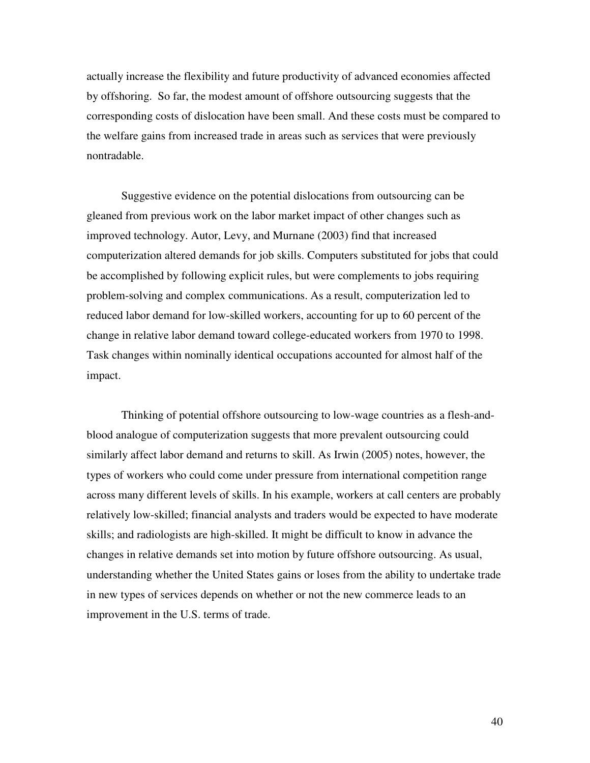actually increase the flexibility and future productivity of advanced economies affected by offshoring. So far, the modest amount of offshore outsourcing suggests that the corresponding costs of dislocation have been small. And these costs must be compared to the welfare gains from increased trade in areas such as services that were previously nontradable.

Suggestive evidence on the potential dislocations from outsourcing can be gleaned from previous work on the labor market impact of other changes such as improved technology. Autor, Levy, and Murnane (2003) find that increased computerization altered demands for job skills. Computers substituted for jobs that could be accomplished by following explicit rules, but were complements to jobs requiring problem-solving and complex communications. As a result, computerization led to reduced labor demand for low-skilled workers, accounting for up to 60 percent of the change in relative labor demand toward college-educated workers from 1970 to 1998. Task changes within nominally identical occupations accounted for almost half of the impact.

Thinking of potential offshore outsourcing to low-wage countries as a flesh-andblood analogue of computerization suggests that more prevalent outsourcing could similarly affect labor demand and returns to skill. As Irwin (2005) notes, however, the types of workers who could come under pressure from international competition range across many different levels of skills. In his example, workers at call centers are probably relatively low-skilled; financial analysts and traders would be expected to have moderate skills; and radiologists are high-skilled. It might be difficult to know in advance the changes in relative demands set into motion by future offshore outsourcing. As usual, understanding whether the United States gains or loses from the ability to undertake trade in new types of services depends on whether or not the new commerce leads to an improvement in the U.S. terms of trade.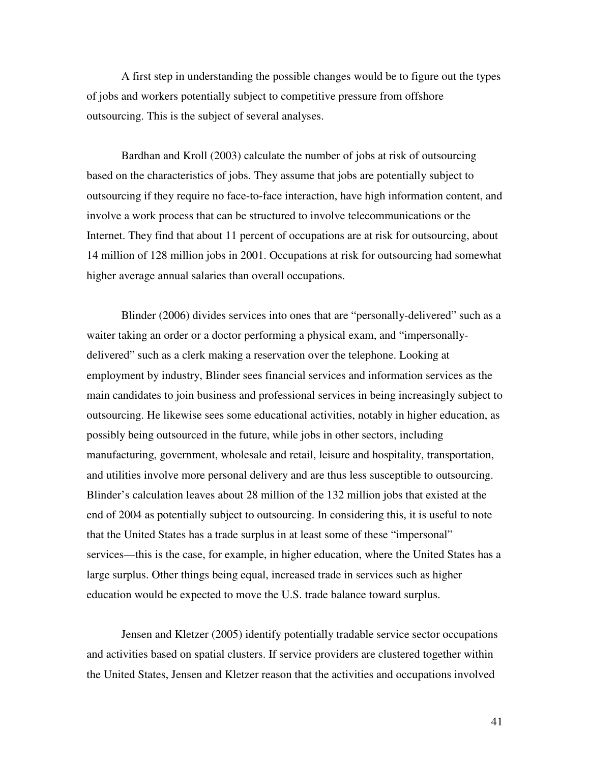A first step in understanding the possible changes would be to figure out the types of jobs and workers potentially subject to competitive pressure from offshore outsourcing. This is the subject of several analyses.

Bardhan and Kroll (2003) calculate the number of jobs at risk of outsourcing based on the characteristics of jobs. They assume that jobs are potentially subject to outsourcing if they require no face-to-face interaction, have high information content, and involve a work process that can be structured to involve telecommunications or the Internet. They find that about 11 percent of occupations are at risk for outsourcing, about 14 million of 128 million jobs in 2001. Occupations at risk for outsourcing had somewhat higher average annual salaries than overall occupations.

Blinder (2006) divides services into ones that are "personally-delivered" such as a waiter taking an order or a doctor performing a physical exam, and "impersonallydelivered" such as a clerk making a reservation over the telephone. Looking at employment by industry, Blinder sees financial services and information services as the main candidates to join business and professional services in being increasingly subject to outsourcing. He likewise sees some educational activities, notably in higher education, as possibly being outsourced in the future, while jobs in other sectors, including manufacturing, government, wholesale and retail, leisure and hospitality, transportation, and utilities involve more personal delivery and are thus less susceptible to outsourcing. Blinder's calculation leaves about 28 million of the 132 million jobs that existed at the end of 2004 as potentially subject to outsourcing. In considering this, it is useful to note that the United States has a trade surplus in at least some of these "impersonal" services—this is the case, for example, in higher education, where the United States has a large surplus. Other things being equal, increased trade in services such as higher education would be expected to move the U.S. trade balance toward surplus.

Jensen and Kletzer (2005) identify potentially tradable service sector occupations and activities based on spatial clusters. If service providers are clustered together within the United States, Jensen and Kletzer reason that the activities and occupations involved

41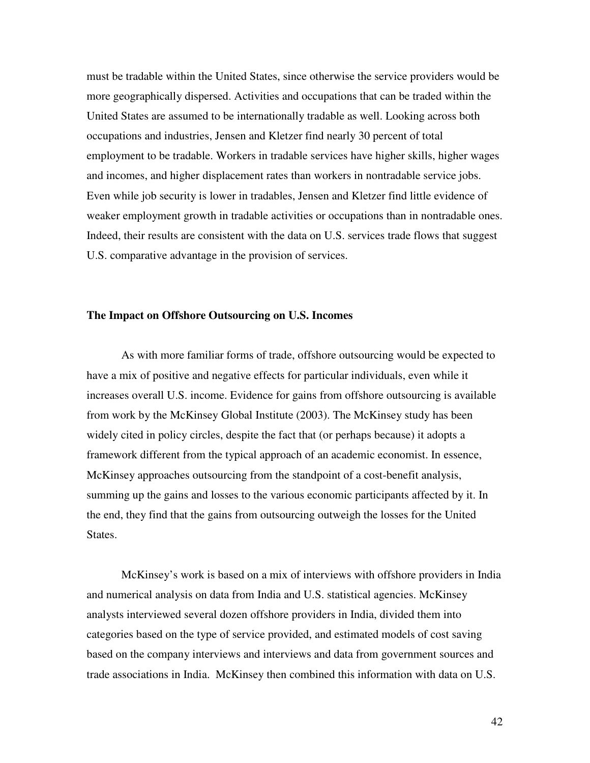must be tradable within the United States, since otherwise the service providers would be more geographically dispersed. Activities and occupations that can be traded within the United States are assumed to be internationally tradable as well. Looking across both occupations and industries, Jensen and Kletzer find nearly 30 percent of total employment to be tradable. Workers in tradable services have higher skills, higher wages and incomes, and higher displacement rates than workers in nontradable service jobs. Even while job security is lower in tradables, Jensen and Kletzer find little evidence of weaker employment growth in tradable activities or occupations than in nontradable ones. Indeed, their results are consistent with the data on U.S. services trade flows that suggest U.S. comparative advantage in the provision of services.

# **The Impact on Offshore Outsourcing on U.S. Incomes**

As with more familiar forms of trade, offshore outsourcing would be expected to have a mix of positive and negative effects for particular individuals, even while it increases overall U.S. income. Evidence for gains from offshore outsourcing is available from work by the McKinsey Global Institute (2003). The McKinsey study has been widely cited in policy circles, despite the fact that (or perhaps because) it adopts a framework different from the typical approach of an academic economist. In essence, McKinsey approaches outsourcing from the standpoint of a cost-benefit analysis, summing up the gains and losses to the various economic participants affected by it. In the end, they find that the gains from outsourcing outweigh the losses for the United States.

McKinsey's work is based on a mix of interviews with offshore providers in India and numerical analysis on data from India and U.S. statistical agencies. McKinsey analysts interviewed several dozen offshore providers in India, divided them into categories based on the type of service provided, and estimated models of cost saving based on the company interviews and interviews and data from government sources and trade associations in India. McKinsey then combined this information with data on U.S.

42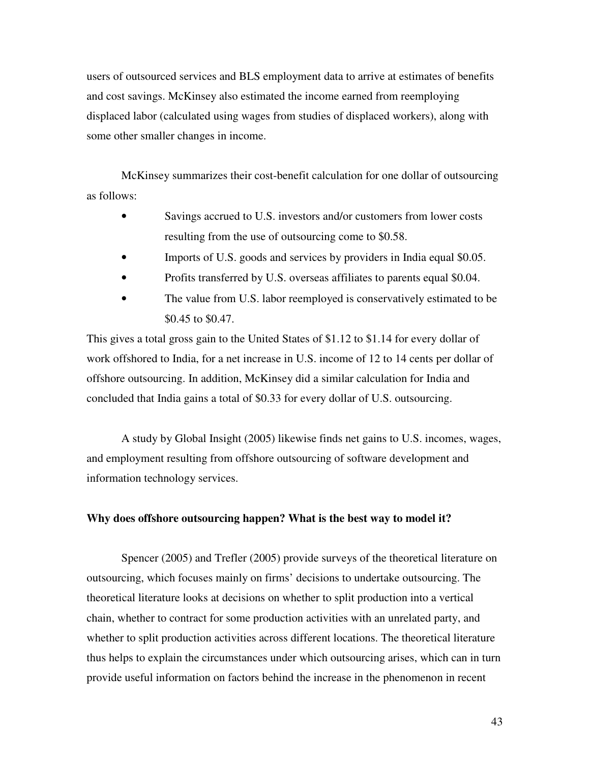users of outsourced services and BLS employment data to arrive at estimates of benefits and cost savings. McKinsey also estimated the income earned from reemploying displaced labor (calculated using wages from studies of displaced workers), along with some other smaller changes in income.

McKinsey summarizes their cost-benefit calculation for one dollar of outsourcing as follows:

- Savings accrued to U.S. investors and/or customers from lower costs resulting from the use of outsourcing come to \$0.58.
- Imports of U.S. goods and services by providers in India equal \$0.05.
- Profits transferred by U.S. overseas affiliates to parents equal \$0.04.
- The value from U.S. labor reemployed is conservatively estimated to be \$0.45 to \$0.47.

This gives a total gross gain to the United States of \$1.12 to \$1.14 for every dollar of work offshored to India, for a net increase in U.S. income of 12 to 14 cents per dollar of offshore outsourcing. In addition, McKinsey did a similar calculation for India and concluded that India gains a total of \$0.33 for every dollar of U.S. outsourcing.

A study by Global Insight (2005) likewise finds net gains to U.S. incomes, wages, and employment resulting from offshore outsourcing of software development and information technology services.

### **Why does offshore outsourcing happen? What is the best way to model it?**

Spencer (2005) and Trefler (2005) provide surveys of the theoretical literature on outsourcing, which focuses mainly on firms' decisions to undertake outsourcing. The theoretical literature looks at decisions on whether to split production into a vertical chain, whether to contract for some production activities with an unrelated party, and whether to split production activities across different locations. The theoretical literature thus helps to explain the circumstances under which outsourcing arises, which can in turn provide useful information on factors behind the increase in the phenomenon in recent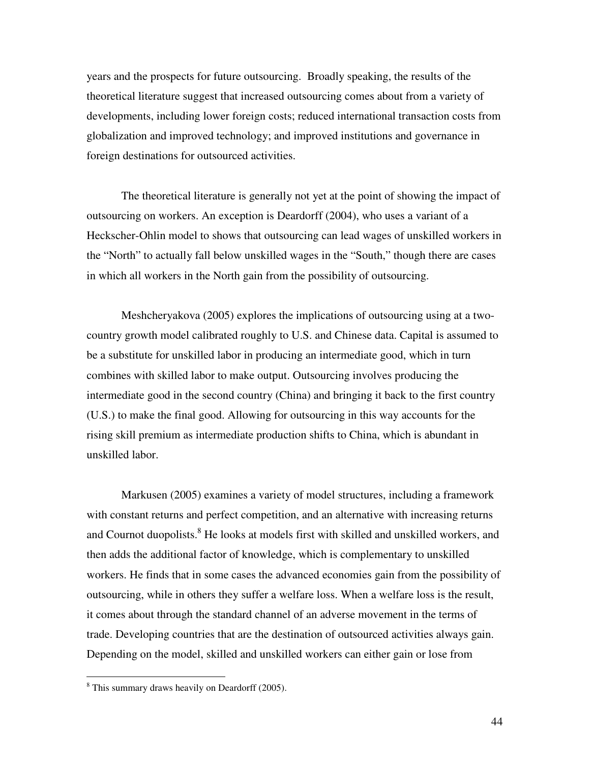years and the prospects for future outsourcing. Broadly speaking, the results of the theoretical literature suggest that increased outsourcing comes about from a variety of developments, including lower foreign costs; reduced international transaction costs from globalization and improved technology; and improved institutions and governance in foreign destinations for outsourced activities.

The theoretical literature is generally not yet at the point of showing the impact of outsourcing on workers. An exception is Deardorff (2004), who uses a variant of a Heckscher-Ohlin model to shows that outsourcing can lead wages of unskilled workers in the "North" to actually fall below unskilled wages in the "South," though there are cases in which all workers in the North gain from the possibility of outsourcing.

Meshcheryakova (2005) explores the implications of outsourcing using at a twocountry growth model calibrated roughly to U.S. and Chinese data. Capital is assumed to be a substitute for unskilled labor in producing an intermediate good, which in turn combines with skilled labor to make output. Outsourcing involves producing the intermediate good in the second country (China) and bringing it back to the first country (U.S.) to make the final good. Allowing for outsourcing in this way accounts for the rising skill premium as intermediate production shifts to China, which is abundant in unskilled labor.

Markusen (2005) examines a variety of model structures, including a framework with constant returns and perfect competition, and an alternative with increasing returns and Cournot duopolists.<sup>8</sup> He looks at models first with skilled and unskilled workers, and then adds the additional factor of knowledge, which is complementary to unskilled workers. He finds that in some cases the advanced economies gain from the possibility of outsourcing, while in others they suffer a welfare loss. When a welfare loss is the result, it comes about through the standard channel of an adverse movement in the terms of trade. Developing countries that are the destination of outsourced activities always gain. Depending on the model, skilled and unskilled workers can either gain or lose from

 $8$  This summary draws heavily on Deardorff (2005).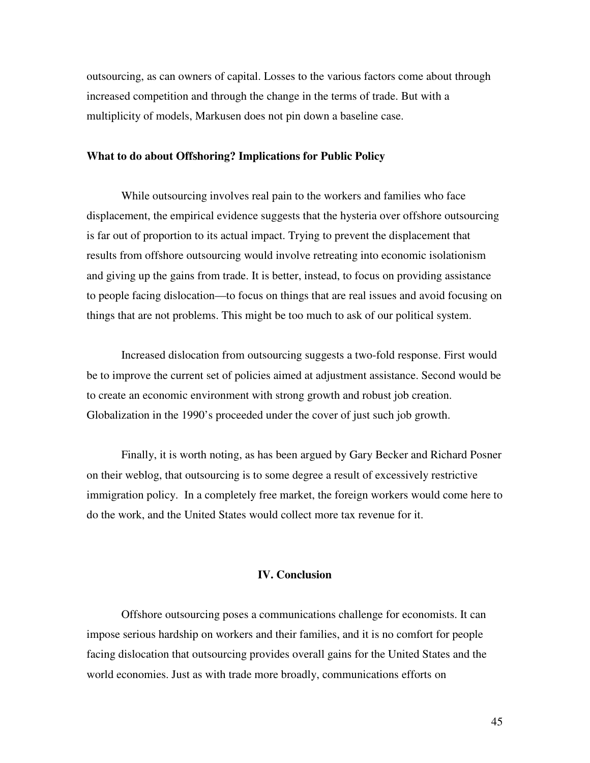outsourcing, as can owners of capital. Losses to the various factors come about through increased competition and through the change in the terms of trade. But with a multiplicity of models, Markusen does not pin down a baseline case.

# **What to do about Offshoring? Implications for Public Policy**

While outsourcing involves real pain to the workers and families who face displacement, the empirical evidence suggests that the hysteria over offshore outsourcing is far out of proportion to its actual impact. Trying to prevent the displacement that results from offshore outsourcing would involve retreating into economic isolationism and giving up the gains from trade. It is better, instead, to focus on providing assistance to people facing dislocation—to focus on things that are real issues and avoid focusing on things that are not problems. This might be too much to ask of our political system.

Increased dislocation from outsourcing suggests a two-fold response. First would be to improve the current set of policies aimed at adjustment assistance. Second would be to create an economic environment with strong growth and robust job creation. Globalization in the 1990's proceeded under the cover of just such job growth.

Finally, it is worth noting, as has been argued by Gary Becker and Richard Posner on their weblog, that outsourcing is to some degree a result of excessively restrictive immigration policy. In a completely free market, the foreign workers would come here to do the work, and the United States would collect more tax revenue for it.

# **IV. Conclusion**

Offshore outsourcing poses a communications challenge for economists. It can impose serious hardship on workers and their families, and it is no comfort for people facing dislocation that outsourcing provides overall gains for the United States and the world economies. Just as with trade more broadly, communications efforts on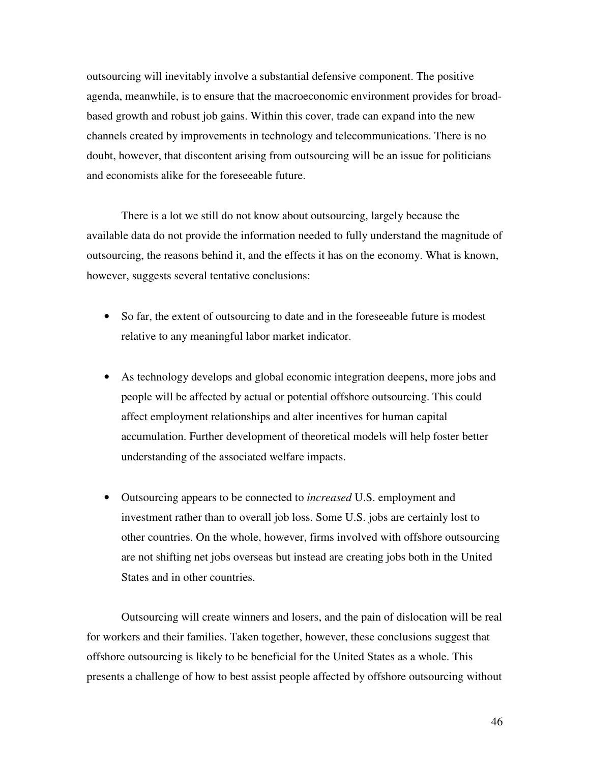outsourcing will inevitably involve a substantial defensive component. The positive agenda, meanwhile, is to ensure that the macroeconomic environment provides for broadbased growth and robust job gains. Within this cover, trade can expand into the new channels created by improvements in technology and telecommunications. There is no doubt, however, that discontent arising from outsourcing will be an issue for politicians and economists alike for the foreseeable future.

There is a lot we still do not know about outsourcing, largely because the available data do not provide the information needed to fully understand the magnitude of outsourcing, the reasons behind it, and the effects it has on the economy. What is known, however, suggests several tentative conclusions:

- So far, the extent of outsourcing to date and in the foreseeable future is modest relative to any meaningful labor market indicator.
- As technology develops and global economic integration deepens, more jobs and people will be affected by actual or potential offshore outsourcing. This could affect employment relationships and alter incentives for human capital accumulation. Further development of theoretical models will help foster better understanding of the associated welfare impacts.
- Outsourcing appears to be connected to *increased* U.S. employment and investment rather than to overall job loss. Some U.S. jobs are certainly lost to other countries. On the whole, however, firms involved with offshore outsourcing are not shifting net jobs overseas but instead are creating jobs both in the United States and in other countries.

Outsourcing will create winners and losers, and the pain of dislocation will be real for workers and their families. Taken together, however, these conclusions suggest that offshore outsourcing is likely to be beneficial for the United States as a whole. This presents a challenge of how to best assist people affected by offshore outsourcing without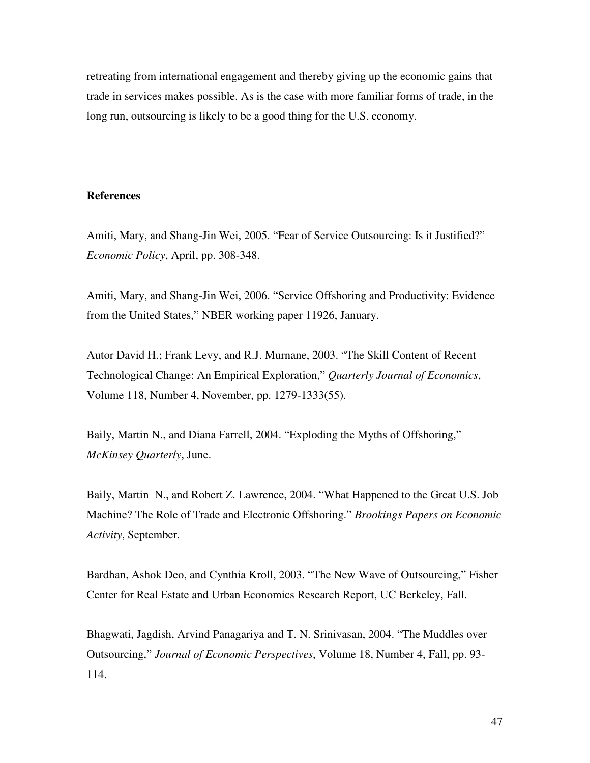retreating from international engagement and thereby giving up the economic gains that trade in services makes possible. As is the case with more familiar forms of trade, in the long run, outsourcing is likely to be a good thing for the U.S. economy.

# **References**

Amiti, Mary, and Shang-Jin Wei, 2005. "Fear of Service Outsourcing: Is it Justified?" *Economic Policy*, April, pp. 308-348.

Amiti, Mary, and Shang-Jin Wei, 2006. "Service Offshoring and Productivity: Evidence from the United States," NBER working paper 11926, January.

Autor David H.; Frank Levy, and R.J. Murnane, 2003. "The Skill Content of Recent Technological Change: An Empirical Exploration," *Quarterly Journal of Economics*, Volume 118, Number 4, November, pp. 1279-1333(55).

Baily, Martin N., and Diana Farrell, 2004. "Exploding the Myths of Offshoring," *McKinsey Quarterly*, June.

Baily, Martin N., and Robert Z. Lawrence, 2004. "What Happened to the Great U.S. Job Machine? The Role of Trade and Electronic Offshoring." *Brookings Papers on Economic Activity*, September.

Bardhan, Ashok Deo, and Cynthia Kroll, 2003. "The New Wave of Outsourcing," Fisher Center for Real Estate and Urban Economics Research Report, UC Berkeley, Fall.

Bhagwati, Jagdish, Arvind Panagariya and T. N. Srinivasan, 2004. "The Muddles over Outsourcing," *Journal of Economic Perspectives*, Volume 18, Number 4, Fall, pp. 93- 114.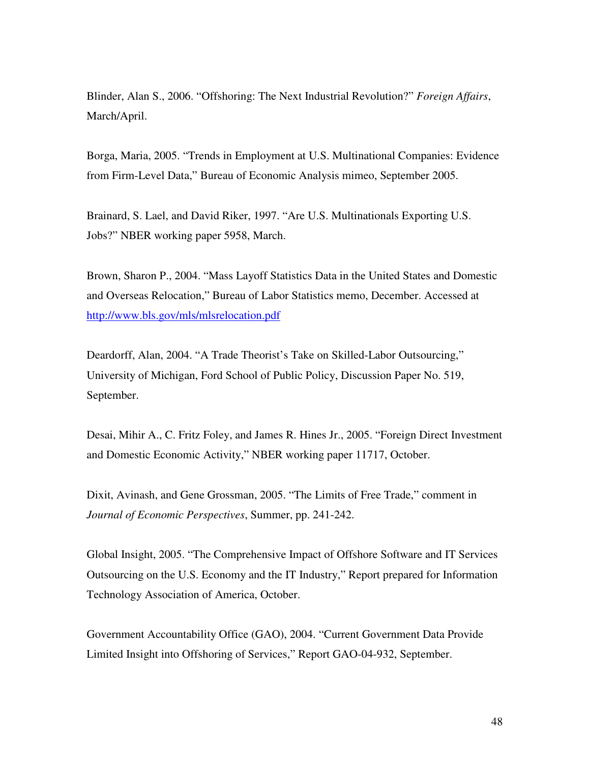Blinder, Alan S., 2006. "Offshoring: The Next Industrial Revolution?" *Foreign Affairs*, March/April.

Borga, Maria, 2005. "Trends in Employment at U.S. Multinational Companies: Evidence from Firm-Level Data," Bureau of Economic Analysis mimeo, September 2005.

Brainard, S. Lael, and David Riker, 1997. "Are U.S. Multinationals Exporting U.S. Jobs?" NBER working paper 5958, March.

Brown, Sharon P., 2004. "Mass Layoff Statistics Data in the United States and Domestic and Overseas Relocation," Bureau of Labor Statistics memo, December. Accessed at http://www.bls.gov/mls/mlsrelocation.pdf

Deardorff, Alan, 2004. "A Trade Theorist's Take on Skilled-Labor Outsourcing," University of Michigan, Ford School of Public Policy, Discussion Paper No. 519, September.

Desai, Mihir A., C. Fritz Foley, and James R. Hines Jr., 2005. "Foreign Direct Investment and Domestic Economic Activity," NBER working paper 11717, October.

Dixit, Avinash, and Gene Grossman, 2005. "The Limits of Free Trade," comment in *Journal of Economic Perspectives*, Summer, pp. 241-242.

Global Insight, 2005. "The Comprehensive Impact of Offshore Software and IT Services Outsourcing on the U.S. Economy and the IT Industry," Report prepared for Information Technology Association of America, October.

Government Accountability Office (GAO), 2004. "Current Government Data Provide Limited Insight into Offshoring of Services," Report GAO-04-932, September.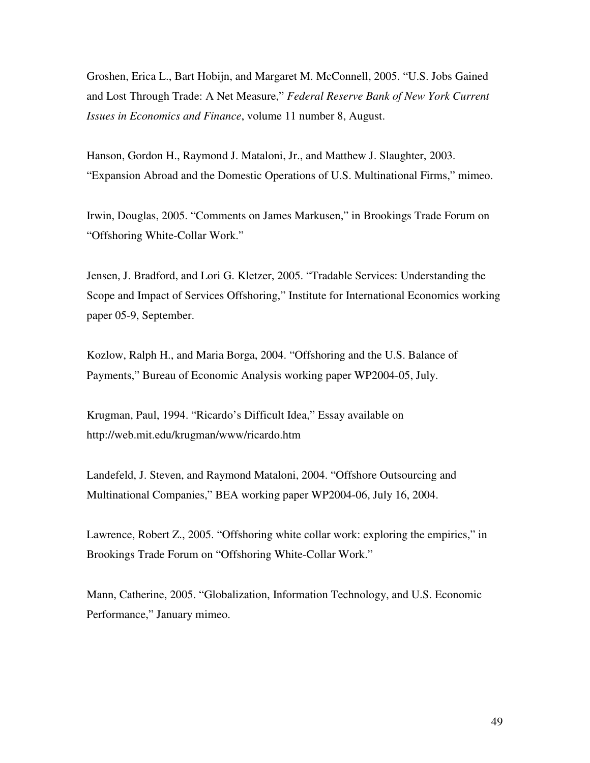Groshen, Erica L., Bart Hobijn, and Margaret M. McConnell, 2005. "U.S. Jobs Gained and Lost Through Trade: A Net Measure," *Federal Reserve Bank of New York Current Issues in Economics and Finance*, volume 11 number 8, August.

Hanson, Gordon H., Raymond J. Mataloni, Jr., and Matthew J. Slaughter, 2003. "Expansion Abroad and the Domestic Operations of U.S. Multinational Firms," mimeo.

Irwin, Douglas, 2005. "Comments on James Markusen," in Brookings Trade Forum on "Offshoring White-Collar Work."

Jensen, J. Bradford, and Lori G. Kletzer, 2005. "Tradable Services: Understanding the Scope and Impact of Services Offshoring," Institute for International Economics working paper 05-9, September.

Kozlow, Ralph H., and Maria Borga, 2004. "Offshoring and the U.S. Balance of Payments," Bureau of Economic Analysis working paper WP2004-05, July.

Krugman, Paul, 1994. "Ricardo's Difficult Idea," Essay available on http://web.mit.edu/krugman/www/ricardo.htm

Landefeld, J. Steven, and Raymond Mataloni, 2004. "Offshore Outsourcing and Multinational Companies," BEA working paper WP2004-06, July 16, 2004.

Lawrence, Robert Z., 2005. "Offshoring white collar work: exploring the empirics," in Brookings Trade Forum on "Offshoring White-Collar Work."

Mann, Catherine, 2005. "Globalization, Information Technology, and U.S. Economic Performance," January mimeo.